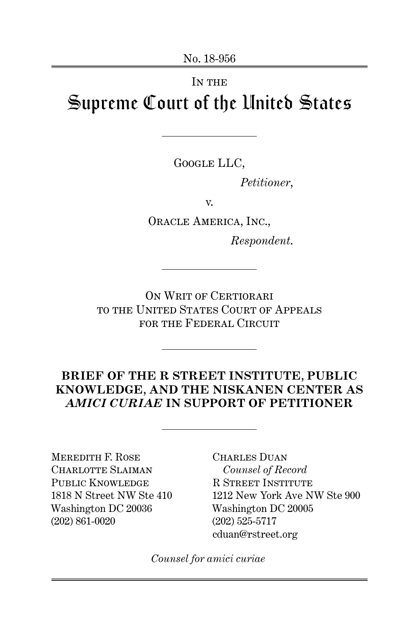# IN THE Supreme Court of the United States

Google LLC,

*Petitioner*,

v.

Oracle America, Inc.,

*Respondent*.

ON WRIT OF CERTIORARI to the United States Court of Appeals for the Federal Circuit

## **BRIEF OF THE R STREET INSTITUTE, PUBLIC KNOWLEDGE, AND THE NISKANEN CENTER AS** *AMICI CURIAE* **IN SUPPORT OF PETITIONER**

Meredith F. Rose CHARLOTTE SLAIMAN PUBLIC KNOWLEDGE 1818 N Street NW Ste 410 Washington DC 20036 (202) 861-0020

Charles Duan *Counsel of Record* R Street Institute 1212 New York Ave NW Ste 900 Washington DC 20005 (202) 525-5717 cduan@rstreet.org

*Counsel for amici curiae*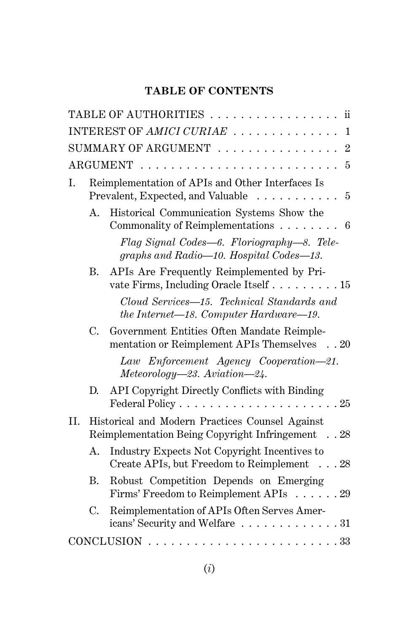## **TABLE OF CONTENTS**

| TABLE OF AUTHORITIES<br>$\mathbf{ii}$                                                                                      |
|----------------------------------------------------------------------------------------------------------------------------|
| INTEREST OF AMICI CURIAE<br>1                                                                                              |
| SUMMARY OF ARGUMENT $\ldots \ldots \ldots \ldots \ldots 2$                                                                 |
| $\overline{5}$                                                                                                             |
| Reimplementation of APIs and Other Interfaces Is<br>I.<br>Prevalent, Expected, and Valuable $\ldots \ldots \ldots$ 5       |
| Historical Communication Systems Show the<br>A.<br>Commonality of Reimplementations $\ldots \ldots \ldots 6$               |
| Flag Signal Codes—6. Floriography—8. Tele-<br>graphs and Radio-10. Hospital Codes-13.                                      |
| APIs Are Frequently Reimplemented by Pri-<br>В.<br>vate Firms, Including Oracle Itself 15                                  |
| Cloud Services—15. Technical Standards and<br>the Internet—18. Computer Hardware—19.                                       |
| C.<br>Government Entities Often Mandate Reimple-<br>mentation or Reimplement APIs Themselves 20                            |
| Law Enforcement Agency Cooperation-21.<br>Meteorology-23. Aviation-24.                                                     |
| API Copyright Directly Conflicts with Binding<br>D.<br>Federal Policy $\dots \dots \dots \dots \dots \dots \dots \dots 25$ |
| Historical and Modern Practices Counsel Against<br>II.<br>Reimplementation Being Copyright Infringement 28                 |
| Industry Expects Not Copyright Incentives to<br>Α.<br>Create APIs, but Freedom to Reimplement 28                           |
| Robust Competition Depends on Emerging<br>Β.<br>Firms' Freedom to Reimplement APIs 29                                      |
| $C_{\cdot}$<br>Reimplementation of APIs Often Serves Amer-<br>icans' Security and Welfare 31                               |
| $CONCLUSION \ldots \ldots \ldots \ldots \ldots \ldots \ldots \ldots 33$                                                    |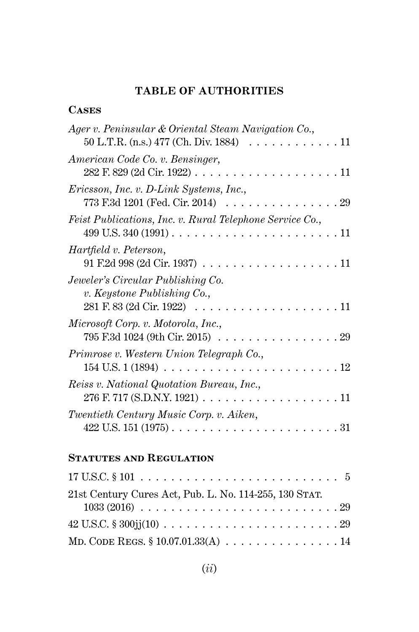## **TABLE OF AUTHORITIES**

### **Cases**

| Ager v. Peninsular & Oriental Steam Navigation Co.,<br>50 L.T.R. (n.s.) 477 (Ch. Div. 1884) 11                                                           |
|----------------------------------------------------------------------------------------------------------------------------------------------------------|
| American Code Co. v. Bensinger,                                                                                                                          |
| Ericsson, Inc. v. D-Link Systems, Inc.,<br>773 F.3d 1201 (Fed. Cir. 2014) $\ldots \ldots \ldots \ldots \ldots \ldots 29$                                 |
| Feist Publications, Inc. v. Rural Telephone Service Co.,                                                                                                 |
| Hartfield v. Peterson,<br>$91$ F.2d $998$ (2d Cir. 1937) 11                                                                                              |
| Jeweler's Circular Publishing Co.<br>$v.$ Keystone Publishing Co.,<br>281 F. 83 (2d Cir. 1922)<br>11                                                     |
| Microsoft Corp. v. Motorola, Inc.,<br>$795 \text{ F.3d } 1024 \text{ (9th Cir. } 2015) \ldots \ldots \ldots \ldots \ldots \ldots 29$                     |
| Primrose v. Western Union Telegraph Co.,<br>$154 \, \mathrm{U.S.} \, 1 \, (1894) \, \ldots \, \ldots \, \ldots \, \ldots \, \ldots \, \ldots \,$<br>. 12 |
| Reiss v. National Quotation Bureau, Inc.,                                                                                                                |
| Twentieth Century Music Corp. v. Aiken,                                                                                                                  |

## **Statutes and Regulation**

| 21st Century Cures Act, Pub. L. No. 114-255, 130 STAT. |  |
|--------------------------------------------------------|--|
|                                                        |  |
|                                                        |  |
| MD. CODE REGS. $$10.07.01.33(A) 14$                    |  |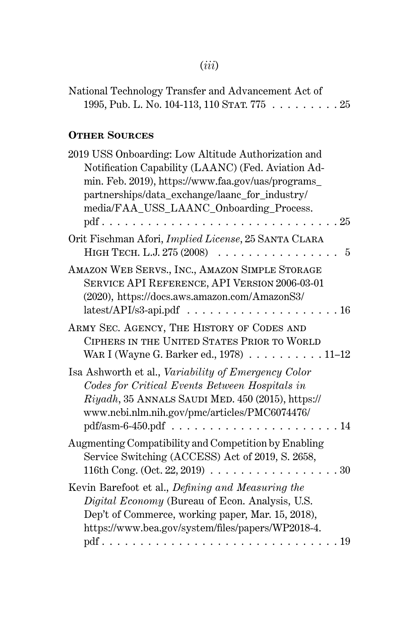# (*iii*)

| National Technology Transfer and Advancement Act of |  |
|-----------------------------------------------------|--|
| 1995, Pub. L. No. 104-113, 110 STAT. 775 25         |  |

# **Other Sources**

| 2019 USS Onboarding: Low Altitude Authorization and<br>Notification Capability (LAANC) (Fed. Aviation Ad-<br>min. Feb. 2019), https://www.faa.gov/uas/programs_<br>partnerships/data_exchange/laanc_for_industry/<br>media/FAA_USS_LAANC_Onboarding_Process.<br>.25<br>$\cdots$ |
|---------------------------------------------------------------------------------------------------------------------------------------------------------------------------------------------------------------------------------------------------------------------------------|
| Orit Fischman Afori, Implied License, 25 SANTA CLARA<br>HIGH TECH. L.J. 275 (2008).<br>5<br>.                                                                                                                                                                                   |
| AMAZON WEB SERVS., INC., AMAZON SIMPLE STORAGE<br>SERVICE API REFERENCE, API VERSION 2006-03-01<br>(2020), https://docs.aws.amazon.com/AmazonS3/                                                                                                                                |
| ARMY SEC. AGENCY, THE HISTORY OF CODES AND<br>CIPHERS IN THE UNITED STATES PRIOR TO WORLD<br>WAR I (Wayne G. Barker ed., 1978) $\ldots \ldots \ldots 11-12$                                                                                                                     |
| Isa Ashworth et al., Variability of Emergency Color<br>Codes for Critical Events Between Hospitals in<br>Riyadh, 35 ANNALS SAUDI MED. 450 (2015), https://<br>www.ncbi.nlm.nih.gov/pmc/articles/PMC6074476/<br>.14                                                              |
| Augmenting Compatibility and Competition by Enabling<br>Service Switching (ACCESS) Act of 2019, S. 2658,<br>116th Cong. (Oct. 22, 2019) $\ldots \ldots \ldots \ldots \ldots \ldots \ldots 30$                                                                                   |
| Kevin Barefoot et al., Defining and Measuring the<br>Digital Economy (Bureau of Econ. Analysis, U.S.<br>Dep't of Commerce, working paper, Mar. 15, 2018),<br>https://www.bea.gov/system/files/papers/WP2018-4.                                                                  |
| $pdf \ldots \ldots \ldots \ldots \ldots$<br>. 19<br>$\cdots$                                                                                                                                                                                                                    |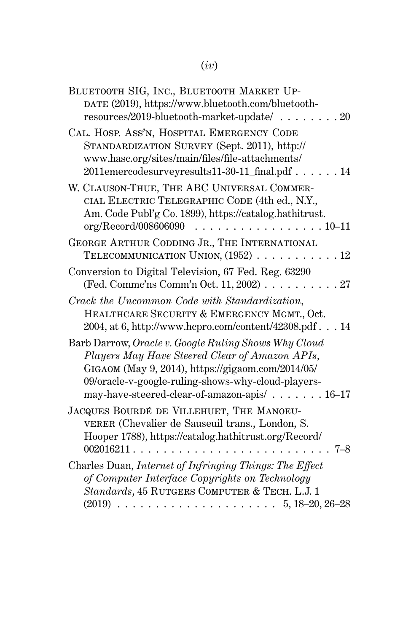# (*iv*)

| BLUETOOTH SIG, INC., BLUETOOTH MARKET UP-<br>DATE (2019), https://www.bluetooth.com/bluetooth-<br>resources/2019-bluetooth-market-update/<br>$\ldots$ 20                                                                                                          |
|-------------------------------------------------------------------------------------------------------------------------------------------------------------------------------------------------------------------------------------------------------------------|
| CAL. HOSP. ASS'N, HOSPITAL EMERGENCY CODE<br>STANDARDIZATION SURVEY (Sept. 2011), http://<br>www.hasc.org/sites/main/files/file-attachments/<br>2011emercodesurveyresults11-30-11_final.pdf<br>. 14                                                               |
| W. CLAUSON-THUE, THE ABC UNIVERSAL COMMER-<br>CIAL ELECTRIC TELEGRAPHIC CODE (4th ed., N.Y.,<br>Am. Code Publ'g Co. 1899), https://catalog.hathitrust.<br>org/Record/008606090<br>. 10–11                                                                         |
| GEORGE ARTHUR CODDING JR., THE INTERNATIONAL<br>TELECOMMUNICATION UNION, $(1952)$ 12                                                                                                                                                                              |
| Conversion to Digital Television, 67 Fed. Reg. 63290<br>(Fed. Commc'ns Comm'n Oct. 11, 2002) $\ldots \ldots$<br>.27                                                                                                                                               |
| Crack the Uncommon Code with Standardization,<br>HEALTHCARE SECURITY & EMERGENCY MGMT., Oct.<br>2004, at 6, http://www.hcpro.com/content/42308.pdf 14                                                                                                             |
| Barb Darrow, Oracle v. Google Ruling Shows Why Cloud<br>Players May Have Steered Clear of Amazon APIs,<br>GIGAOM (May 9, 2014), https://gigaom.com/2014/05/<br>09/oracle-v-google-ruling-shows-why-cloud-players-<br>may-have-steered-clear-of-amazon-apis/ 16-17 |
| JACQUES BOURDÉ DE VILLEHUET, THE MANOEU-<br>VERER (Chevalier de Sauseuil trans., London, S.<br>Hooper 1788), https://catalog.hathitrust.org/Record/<br>002016211.<br>7–8                                                                                          |
| Charles Duan, Internet of Infringing Things: The Effect<br>of Computer Interface Copyrights on Technology<br>Standards, 45 RUTGERS COMPUTER & TECH. L.J. 1                                                                                                        |
|                                                                                                                                                                                                                                                                   |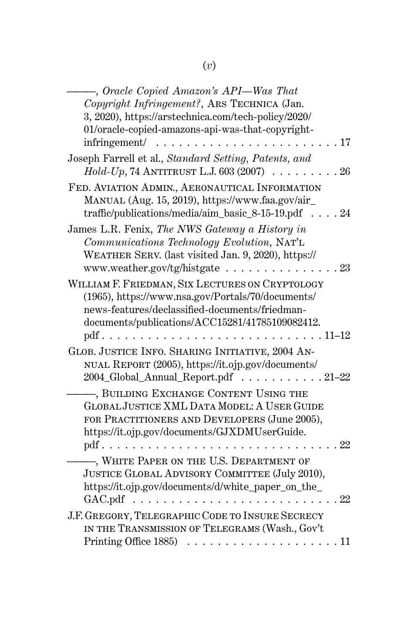| -, Oracle Copied Amazon's API—Was That                            |
|-------------------------------------------------------------------|
| Copyright Infringement?, ARS TECHNICA (Jan.                       |
| 3, 2020), https://arstechnica.com/tech-policy/2020/               |
| 01/oracle-copied-amazons-api-was-that-copyright-                  |
| infringement/<br>17<br>.                                          |
|                                                                   |
| Joseph Farrell et al., Standard Setting, Patents, and             |
| $Hold$ - $Up$ , 74 ANTITRUST L.J. 603 (2007)<br>.26               |
| FED. AVIATION ADMIN., AERONAUTICAL INFORMATION                    |
| MANUAL (Aug. 15, 2019), https://www.faa.gov/air_                  |
| traffic/publications/media/aim_basic_8-15-19.pdf<br>.24           |
| James L.R. Fenix, The NWS Gateway a History in                    |
| Communications Technology Evolution, NAT'L                        |
| WEATHER SERV. (last visited Jan. 9, 2020), https://               |
|                                                                   |
| www.weather.gov/tg/histgate $\ldots \ldots \ldots \ldots$<br>. 23 |
| WILLIAM F. FRIEDMAN, SIX LECTURES ON CRYPTOLOGY                   |
| (1965), https://www.nsa.gov/Portals/70/documents/                 |
| news-features/declassified-documents/friedman-                    |
| documents/publications/ACC15281/41785109082412.                   |
| $.11 - 12$<br>$pdf \ldots \ldots \ldots$<br>.                     |
| GLOB. JUSTICE INFO. SHARING INITIATIVE, 2004 AN-                  |
| NUAL REPORT (2005), https://it.ojp.gov/documents/                 |
| 2004_Global_Annual_Report.pdf 21-22                               |
|                                                                   |
| , BUILDING EXCHANGE CONTENT USING THE                             |
| GLOBAL JUSTICE XML DATA MODEL: A USER GUIDE                       |
| FOR PRACTITIONERS AND DEVELOPERS (June 2005),                     |
| https://it.ojp.gov/documents/GJXDMUserGuide.                      |
| 22<br>$pdf.$ .                                                    |
| , WHITE PAPER ON THE U.S. DEPARTMENT OF                           |
| JUSTICE GLOBAL ADVISORY COMMITTEE (July 2010),                    |
| https://it.ojp.gov/documents/d/white_paper_on_the_                |
| GAC.pdf<br>22                                                     |
|                                                                   |
| J.F. GREGORY, TELEGRAPHIC CODE TO INSURE SECRECY                  |
| IN THE TRANSMISSION OF TELEGRAMS (Wash., Gov't                    |
| -11                                                               |
|                                                                   |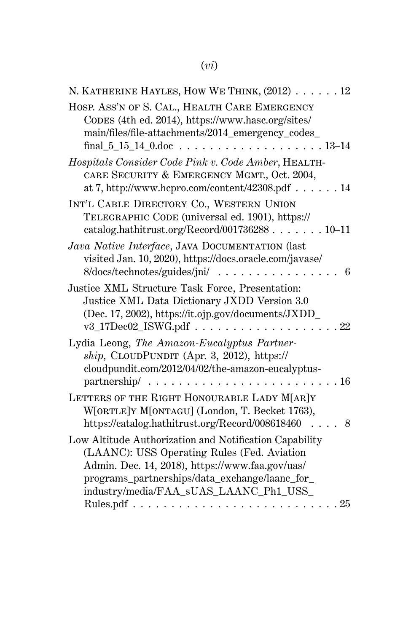# (*vi*)

| N. KATHERINE HAYLES, HOW WE THINK, (2012) 12                                                                                                            |
|---------------------------------------------------------------------------------------------------------------------------------------------------------|
| HOSP. ASS'N OF S. CAL., HEALTH CARE EMERGENCY<br>CODES (4th ed. 2014), https://www.hasc.org/sites/<br>main/files/file-attachments/2014_emergency_codes_ |
| Hospitals Consider Code Pink v. Code Amber, HEALTH-                                                                                                     |
| CARE SECURITY & EMERGENCY MGMT., Oct. 2004,                                                                                                             |
| at 7, http://www.hcpro.com/content/42308.pdf 14                                                                                                         |
| INT'L CABLE DIRECTORY CO., WESTERN UNION<br>TELEGRAPHIC CODE (universal ed. 1901), https://<br>catalog.hathitrust.org/Record/00173628810-11             |
| Java Native Interface, JAVA DOCUMENTATION (last                                                                                                         |
| visited Jan. 10, 2020), https://docs.oracle.com/javase/<br>$8/\text{docs/technotes/guides/jni/} \dots \dots \dots \dots$<br>6                           |
| Justice XML Structure Task Force, Presentation:                                                                                                         |
| Justice XML Data Dictionary JXDD Version 3.0<br>(Dec. 17, 2002), https://it.ojp.gov/documents/JXDD_<br>$v3_17$ Dec $02_1$ SWG.pdf<br>22                 |
| Lydia Leong, The Amazon-Eucalyptus Partner-                                                                                                             |
| $ship, CLOUDPUNDIT (Apr. 3, 2012), https://www.ntds2012)$                                                                                               |
| cloudpundit.com/2012/04/02/the-amazon-eucalyptus-                                                                                                       |
| partnership/.<br>$\ldots$ 16<br>$\ldots$<br>.<br>$\ddot{\phantom{a}}$                                                                                   |
| LETTERS OF THE RIGHT HONOURABLE LADY M[AR]Y                                                                                                             |
| W[ORTLE]Y M[ONTAGU] (London, T. Becket 1763),                                                                                                           |
| https://catalog.hathitrust.org/Record/008618460<br>$\ldots$ 8                                                                                           |
| Low Altitude Authorization and Notification Capability                                                                                                  |
| (LAANC): USS Operating Rules (Fed. Aviation                                                                                                             |
| Admin. Dec. 14, 2018), https://www.faa.gov/uas/                                                                                                         |
| programs_partnerships/data_exchange/laanc_for_                                                                                                          |
| industry/media/FAA_sUAS_LAANC_Ph1_USS_                                                                                                                  |
|                                                                                                                                                         |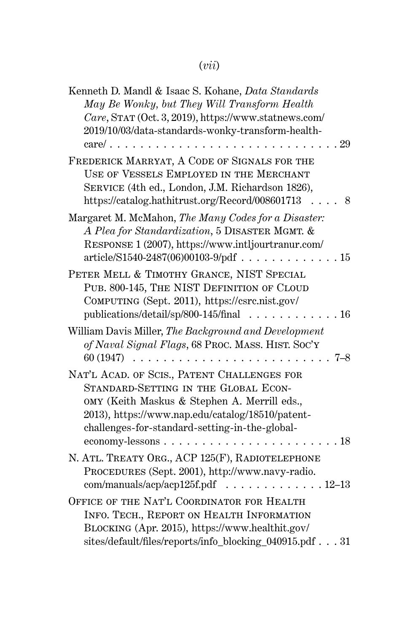# (*vii*)

| Kenneth D. Mandl & Isaac S. Kohane, Data Standards                                                    |
|-------------------------------------------------------------------------------------------------------|
| May Be Wonky, but They Will Transform Health                                                          |
| Care, STAT (Oct. 3, 2019), https://www.statnews.com/                                                  |
| 2019/10/03/data-standards-wonky-transform-health-                                                     |
| $care/ \ldots$ .<br>29                                                                                |
| FREDERICK MARRYAT, A CODE OF SIGNALS FOR THE                                                          |
| USE OF VESSELS EMPLOYED IN THE MERCHANT                                                               |
| SERVICE (4th ed., London, J.M. Richardson 1826),                                                      |
| https://catalog.hathitrust.org/Record/008601713<br>8                                                  |
| Margaret M. McMahon, The Many Codes for a Disaster:<br>A Plea for Standardization, 5 DISASTER MGMT. & |
| RESPONSE 1 (2007), https://www.intljourtranur.com/                                                    |
|                                                                                                       |
| PETER MELL & TIMOTHY GRANCE, NIST SPECIAL                                                             |
| PUB. 800-145, THE NIST DEFINITION OF CLOUD                                                            |
| COMPUTING (Sept. 2011), https://csrc.nist.gov/                                                        |
| publications/detail/sp/800-145/final<br>. 16<br>$\mathbf{r}$ . The set of $\mathbf{r}$                |
| William Davis Miller, The Background and Development                                                  |
| of Naval Signal Flags, 68 PROC. MASS. HIST. SOC'Y                                                     |
| 60 (1947)<br>7–8                                                                                      |
|                                                                                                       |
| NAT'L ACAD. OF SCIS., PATENT CHALLENGES FOR                                                           |
| STANDARD-SETTING IN THE GLOBAL ECON-                                                                  |
| OMY (Keith Maskus & Stephen A. Merrill eds.,                                                          |
| 2013), https://www.nap.edu/catalog/18510/patent-                                                      |
| challenges-for-standard-setting-in-the-global-                                                        |
| economy-lessons.<br>-18<br>$\cdot$<br>.                                                               |
| N. ATL. TREATY ORG., ACP 125(F), RADIOTELEPHONE                                                       |
| PROCEDURES (Sept. 2001), http://www.navy-radio.                                                       |
| com/manuals/acp/acp125f.pdf 12-13                                                                     |
| OFFICE OF THE NAT'L COORDINATOR FOR HEALTH                                                            |
| INFO. TECH., REPORT ON HEALTH INFORMATION                                                             |
| BLOCKING (Apr. 2015), https://www.healthit.gov/                                                       |
| sites/default/files/reports/info_blocking_040915.pdf 31                                               |
|                                                                                                       |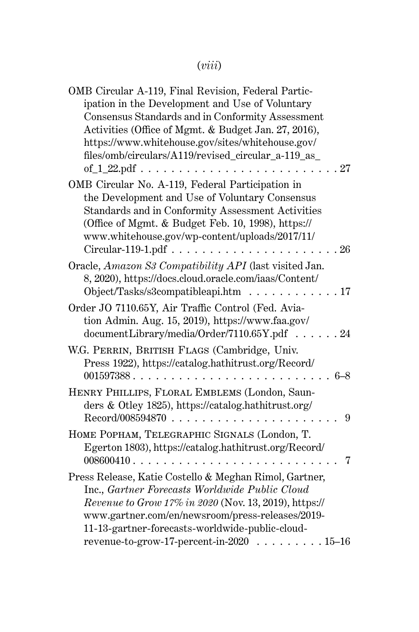# (*viii*)

| OMB Circular A-119, Final Revision, Federal Partic-    |
|--------------------------------------------------------|
| ipation in the Development and Use of Voluntary        |
| Consensus Standards and in Conformity Assessment       |
| Activities (Office of Mgmt. & Budget Jan. 27, 2016),   |
| https://www.whitehouse.gov/sites/whitehouse.gov/       |
| files/omb/circulars/A119/revised_circular_a-119_as_    |
| of $1$ 22.pdf<br>27                                    |
| OMB Circular No. A-119, Federal Participation in       |
| the Development and Use of Voluntary Consensus         |
|                                                        |
| Standards and in Conformity Assessment Activities      |
| (Office of Mgmt. & Budget Feb. 10, 1998), https://     |
| www.whitehouse.gov/wp-content/uploads/2017/11/         |
| Circular-119-1.pdf.<br>26<br>.                         |
| Oracle, Amazon S3 Compatibility API (last visited Jan. |
| 8, 2020), https://docs.cloud.oracle.com/iaas/Content/  |
| Object/Tasks/s3compatibleapi.htm<br>.17<br>.           |
| Order JO 7110.65Y, Air Traffic Control (Fed. Avia-     |
| tion Admin. Aug. 15, 2019), https://www.faa.gov/       |
| documentLibrary/media/Order/7110.65Y.pdf 24            |
|                                                        |
| W.G. PERRIN, BRITISH FLAGS (Cambridge, Univ.           |
| Press 1922), https://catalog.hathitrust.org/Record/    |
| 001597388<br>$6 - 8$                                   |
| HENRY PHILLIPS, FLORAL EMBLEMS (London, Saun-          |
| ders & Otley 1825), https://catalog.hathitrust.org/    |
| Record/008594870.<br>9                                 |
| HOME POPHAM, TELEGRAPHIC SIGNALS (London, T.           |
| Egerton 1803), https://catalog.hathitrust.org/Record/  |
| 008600410<br>7                                         |
|                                                        |
| Press Release, Katie Costello & Meghan Rimol, Gartner, |
| Inc., Gartner Forecasts Worldwide Public Cloud         |
| Revenue to Grow 17% in 2020 (Nov. 13, 2019), https://  |
| www.gartner.com/en/newsroom/press-releases/2019-       |
| 11-13-gartner-forecasts-worldwide-public-cloud-        |
| revenue-to-grow-17-percent-in-2020 15-16               |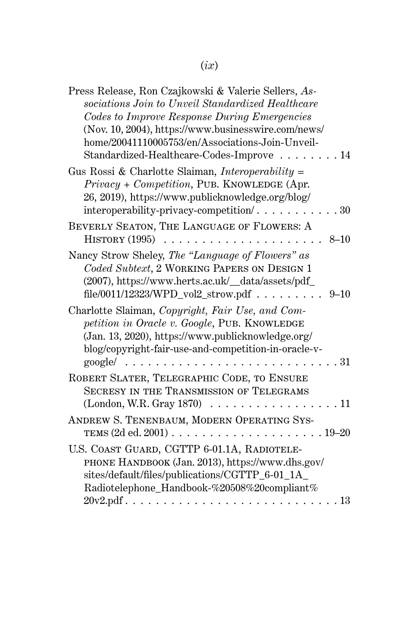| Press Release, Ron Czajkowski & Valerie Sellers, As-<br>sociations Join to Unveil Standardized Healthcare<br>Codes to Improve Response During Emergencies<br>(Nov. 10, 2004), https://www.businesswire.com/news/<br>home/20041110005753/en/Associations-Join-Unveil-<br>Standardized-Healthcare-Codes-Improve<br>14 |
|---------------------------------------------------------------------------------------------------------------------------------------------------------------------------------------------------------------------------------------------------------------------------------------------------------------------|
| Gus Rossi & Charlotte Slaiman, Interoperability =<br>Privacy + Competition, PUB. KNOWLEDGE (Apr.<br>26, 2019), https://www.publicknowledge.org/blog/                                                                                                                                                                |
| BEVERLY SEATON, THE LANGUAGE OF FLOWERS: A<br>HISTORY (1995)<br>$8 - 10$<br>.                                                                                                                                                                                                                                       |
| Nancy Strow Sheley, The "Language of Flowers" as<br>Coded Subtext, 2 WORKING PAPERS ON DESIGN 1<br>(2007), https://www.herts.ac.uk/_data/assets/pdf_<br>file/0011/12323/WPD_vol2_strow.pdf<br>$9 - 10$                                                                                                              |
| Charlotte Slaiman, Copyright, Fair Use, and Com-<br>petition in Oracle v. Google, PUB. KNOWLEDGE<br>(Jan. 13, 2020), https://www.publicknowledge.org/<br>blog/copyright-fair-use-and-competition-in-oracle-v-<br>$\text{google}/\ldots \ldots \ldots \ldots \ldots$<br>. 31                                         |
| ROBERT SLATER, TELEGRAPHIC CODE, TO ENSURE<br><b>SECRESY IN THE TRANSMISSION OF TELEGRAMS</b><br>$(London, W.R. Gray 1870) \ldots \ldots \ldots \ldots$<br>11                                                                                                                                                       |
| ANDREW S. TENENBAUM, MODERN OPERATING SYS-                                                                                                                                                                                                                                                                          |
| U.S. COAST GUARD, CGTTP 6-01.1A, RADIOTELE-<br>PHONE HANDBOOK (Jan. 2013), https://www.dhs.gov/<br>sites/default/files/publications/CGTTP_6-01_1A_<br>Radiotelephone_Handbook-%20508%20compliant%                                                                                                                   |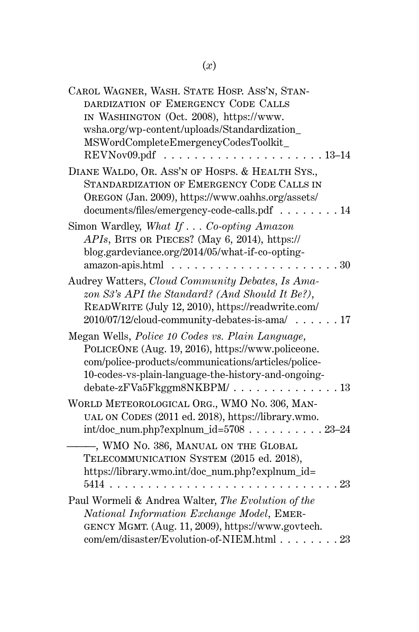| CAROL WAGNER, WASH. STATE HOSP. ASS'N, STAN-        |
|-----------------------------------------------------|
| DARDIZATION OF EMERGENCY CODE CALLS                 |
| IN WASHINGTON (Oct. 2008), https://www.             |
| wsha.org/wp-content/uploads/Standardization_        |
| MSWordCompleteEmergencyCodesToolkit_                |
| REVNov09.pdf<br>$13 - 14$                           |
| DIANE WALDO, OR. ASS'N OF HOSPS. & HEALTH SYS.,     |
| STANDARDIZATION OF EMERGENCY CODE CALLS IN          |
| OREGON (Jan. 2009), https://www.oahhs.org/assets/   |
| documents/files/emergency-code-calls.pdf 14         |
| Simon Wardley, What If Co-opting Amazon             |
| APIs, BITS OR PIECES? (May 6, 2014), https://       |
| blog.gardeviance.org/2014/05/what-if-co-opting-     |
| amazon-apis.html<br>30                              |
| Audrey Watters, Cloud Community Debates, Is Ama-    |
| zon S3's API the Standard? (And Should It Be?),     |
| READWRITE (July 12, 2010), https://readwrite.com/   |
| 2010/07/12/cloud-community-debates-is-ama/17        |
| Megan Wells, Police 10 Codes vs. Plain Language,    |
| POLICEONE (Aug. 19, 2016), https://www.policeone.   |
| com/police-products/communications/articles/police- |
| 10-codes-vs-plain-language-the-history-and-ongoing- |
| debate-zFVa5Fkggm8NKBPM/<br>.13                     |
|                                                     |
| WORLD METEOROLOGICAL ORG., WMO No. 306, MAN-        |
| UAL ON CODES (2011 ed. 2018), https://library.wmo.  |
| $int/doc\_num.php?explnum_id=570823-24$             |
| , WMO No. 386, MANUAL ON THE GLOBAL                 |
| TELECOMMUNICATION SYSTEM (2015 ed. 2018),           |
| https://library.wmo.int/doc_num.php?explnum_id=     |
| $5414$<br>23                                        |
| Paul Wormeli & Andrea Walter, The Evolution of the  |
| National Information Exchange Model, EMER-          |
| GENCY MGMT. (Aug. 11, 2009), https://www.govtech.   |
| com/em/disaster/Evolution-of-NIEM.html 23           |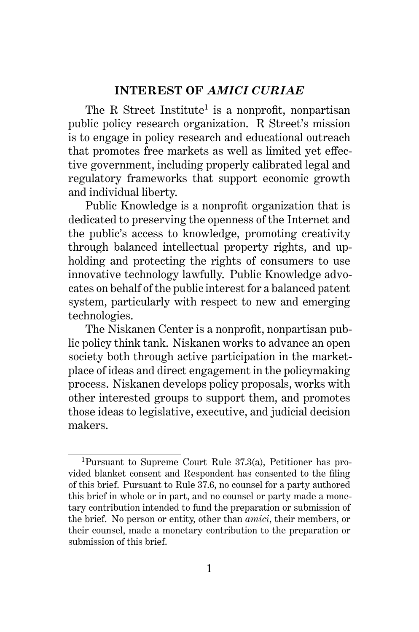## **INTEREST OF** *AMICI CURIAE*

The R Street Institute<sup>1</sup> is a nonprofit, nonpartisan public policy research organization. R Street's mission is to engage in policy research and educational outreach that promotes free markets as well as limited yet effective government, including properly calibrated legal and regulatory frameworks that support economic growth and individual liberty.

Public Knowledge is a nonprofit organization that is dedicated to preserving the openness of the Internet and the public's access to knowledge, promoting creativity through balanced intellectual property rights, and upholding and protecting the rights of consumers to use innovative technology lawfully. Public Knowledge advocates on behalf of the public interest for a balanced patent system, particularly with respect to new and emerging technologies.

The Niskanen Center is a nonprofit, nonpartisan public policy think tank. Niskanen works to advance an open society both through active participation in the marketplace of ideas and direct engagement in the policymaking process. Niskanen develops policy proposals, works with other interested groups to support them, and promotes those ideas to legislative, executive, and judicial decision makers.

<sup>1</sup>Pursuant to Supreme Court Rule 37.3(a), Petitioner has provided blanket consent and Respondent has consented to the filing of this brief. Pursuant to Rule 37.6, no counsel for a party authored this brief in whole or in part, and no counsel or party made a monetary contribution intended to fund the preparation or submission of the brief. No person or entity, other than *amici*, their members, or their counsel, made a monetary contribution to the preparation or submission of this brief.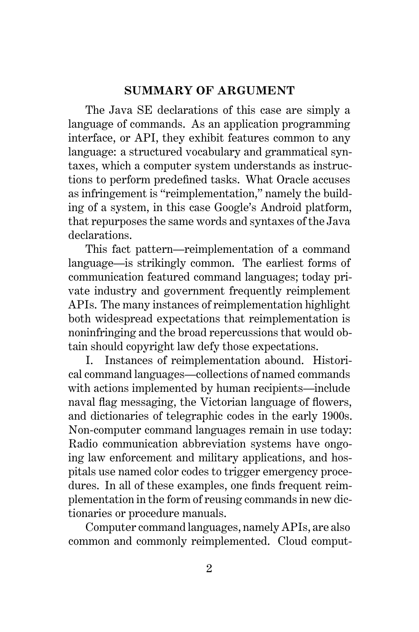### **SUMMARY OF ARGUMENT**

The Java SE declarations of this case are simply a language of commands. As an application programming interface, or API, they exhibit features common to any language: a structured vocabulary and grammatical syntaxes, which a computer system understands as instructions to perform predefined tasks. What Oracle accuses as infringement is "reimplementation," namely the building of a system, in this case Google's Android platform, that repurposes the same words and syntaxes of the Java declarations.

This fact pattern—reimplementation of a command language—is strikingly common. The earliest forms of communication featured command languages; today private industry and government frequently reimplement APIs. The many instances of reimplementation highlight both widespread expectations that reimplementation is noninfringing and the broad repercussions that would obtain should copyright law defy those expectations.

I. Instances of reimplementation abound. Historical command languages—collections of named commands with actions implemented by human recipients—include naval flag messaging, the Victorian language of flowers, and dictionaries of telegraphic codes in the early 1900s. Non-computer command languages remain in use today: Radio communication abbreviation systems have ongoing law enforcement and military applications, and hospitals use named color codes to trigger emergency procedures. In all of these examples, one finds frequent reimplementation in the form of reusing commands in new dictionaries or procedure manuals.

Computer command languages, namely APIs, are also common and commonly reimplemented. Cloud comput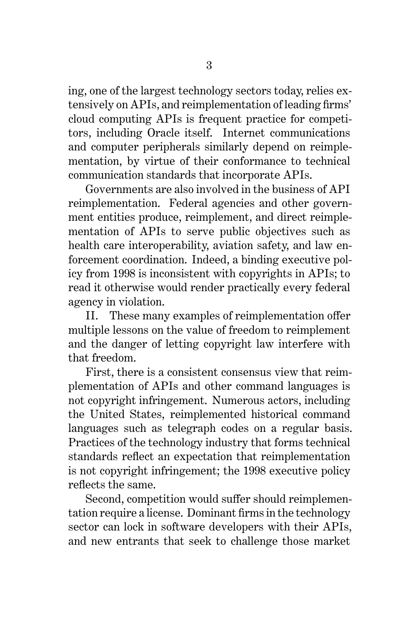ing, one of the largest technology sectors today, relies extensively on APIs, and reimplementation of leading firms' cloud computing APIs is frequent practice for competitors, including Oracle itself. Internet communications and computer peripherals similarly depend on reimplementation, by virtue of their conformance to technical communication standards that incorporate APIs.

Governments are also involved in the business of API reimplementation. Federal agencies and other government entities produce, reimplement, and direct reimplementation of APIs to serve public objectives such as health care interoperability, aviation safety, and law enforcement coordination. Indeed, a binding executive policy from 1998 is inconsistent with copyrights in APIs; to read it otherwise would render practically every federal agency in violation.

II. These many examples of reimplementation offer multiple lessons on the value of freedom to reimplement and the danger of letting copyright law interfere with that freedom.

First, there is a consistent consensus view that reimplementation of APIs and other command languages is not copyright infringement. Numerous actors, including the United States, reimplemented historical command languages such as telegraph codes on a regular basis. Practices of the technology industry that forms technical standards reflect an expectation that reimplementation is not copyright infringement; the 1998 executive policy reflects the same.

Second, competition would suffer should reimplementation require a license. Dominant firms in the technology sector can lock in software developers with their APIs, and new entrants that seek to challenge those market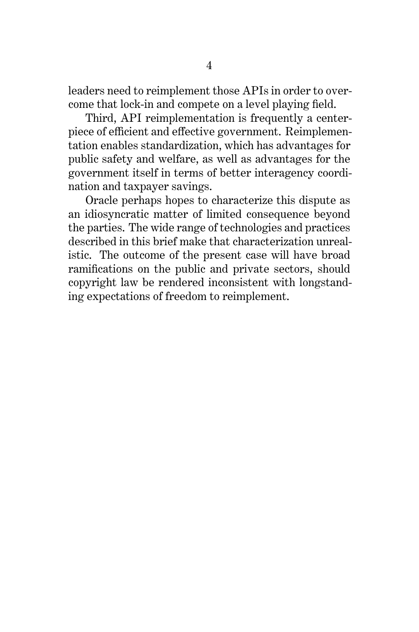leaders need to reimplement those APIs in order to overcome that lock-in and compete on a level playing field.

Third, API reimplementation is frequently a centerpiece of efficient and effective government. Reimplementation enables standardization, which has advantages for public safety and welfare, as well as advantages for the government itself in terms of better interagency coordination and taxpayer savings.

Oracle perhaps hopes to characterize this dispute as an idiosyncratic matter of limited consequence beyond the parties. The wide range of technologies and practices described in this brief make that characterization unrealistic. The outcome of the present case will have broad ramifications on the public and private sectors, should copyright law be rendered inconsistent with longstanding expectations of freedom to reimplement.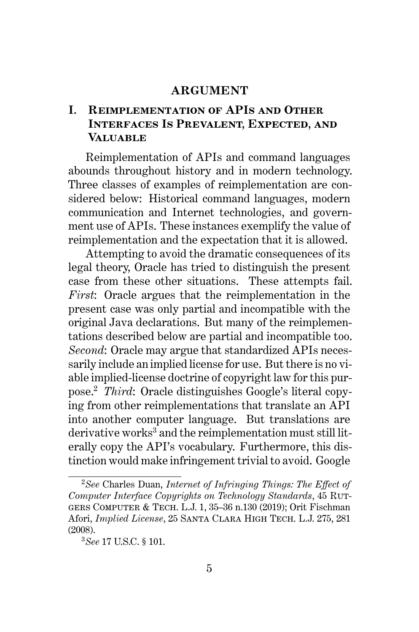#### **ARGUMENT**

## **I. Reimplementation of APIs and Other Interfaces Is Prevalent, Expected, and Valuable**

Reimplementation of APIs and command languages abounds throughout history and in modern technology. Three classes of examples of reimplementation are considered below: Historical command languages, modern communication and Internet technologies, and government use of APIs. These instances exemplify the value of reimplementation and the expectation that it is allowed.

Attempting to avoid the dramatic consequences of its legal theory, Oracle has tried to distinguish the present case from these other situations. These attempts fail. *First*: Oracle argues that the reimplementation in the present case was only partial and incompatible with the original Java declarations. But many of the reimplementations described below are partial and incompatible too. *Second*: Oracle may argue that standardized APIs necessarily include an implied license for use. But there is no viable implied-license doctrine of copyright law for this purpose.<sup>2</sup> *Third*: Oracle distinguishes Google's literal copying from other reimplementations that translate an API into another computer language. But translations are  $derivative works<sup>3</sup>$  and the reimplementation must still literally copy the API's vocabulary. Furthermore, this distinction would make infringement trivial to avoid. Google

<sup>2</sup>*See* Charles Duan, *Internet of Infringing Things: The Effect of Computer Interface Copyrights on Technology Standards*, 45 Rutgers Computer & Tech. L.J. 1, 35–36 n.130 (2019); Orit Fischman Afori, *Implied License*, 25 Santa Clara High Tech. L.J. 275, 281 (2008).

<sup>3</sup>*See* 17 U.S.C. § 101.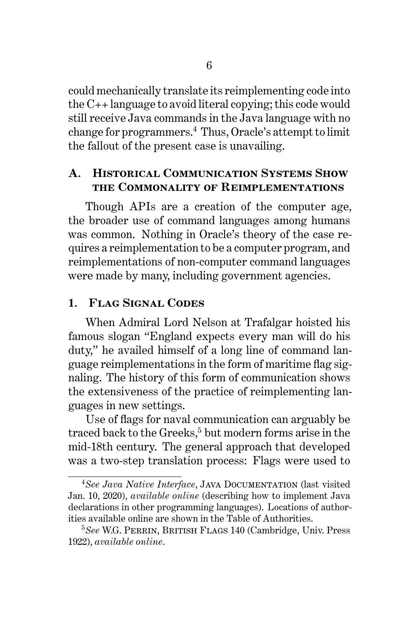could mechanically translate its reimplementing code into the C++ language to avoid literal copying; this code would still receive Java commands in the Java language with no change for programmers.<sup>4</sup> Thus, Oracle's attempt to limit the fallout of the present case is unavailing.

## **A. Historical Communication Systems Show the Commonality of Reimplementations**

Though APIs are a creation of the computer age, the broader use of command languages among humans was common. Nothing in Oracle's theory of the case requires a reimplementation to be a computer program, and reimplementations of non-computer command languages were made by many, including government agencies.

## **1. Flag Signal Codes**

When Admiral Lord Nelson at Trafalgar hoisted his famous slogan "England expects every man will do his duty," he availed himself of a long line of command language reimplementations in the form of maritime flag signaling. The history of this form of communication shows the extensiveness of the practice of reimplementing languages in new settings.

Use of flags for naval communication can arguably be traced back to the Greeks,<sup>5</sup> but modern forms arise in the mid-18th century. The general approach that developed was a two-step translation process: Flags were used to

<sup>&</sup>lt;sup>4</sup>See Java Native Interface, JAVA DOCUMENTATION (last visited Jan. 10, 2020), *available online* (describing how to implement Java declarations in other programming languages). Locations of authorities available online are shown in the Table of Authorities.

<sup>&</sup>lt;sup>5</sup>See W.G. PERRIN, BRITISH FLAGS 140 (Cambridge, Univ. Press 1922), *available online*.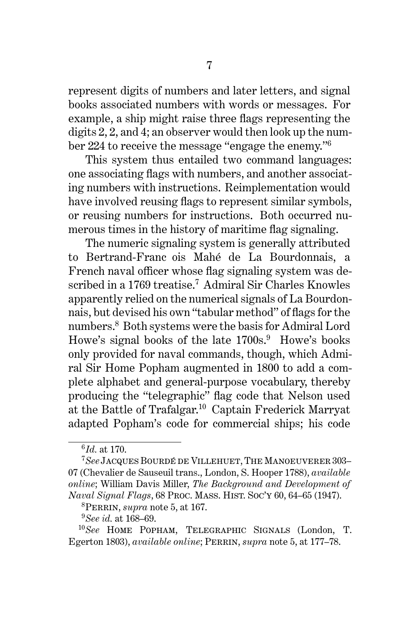represent digits of numbers and later letters, and signal books associated numbers with words or messages. For example, a ship might raise three flags representing the digits 2, 2, and 4; an observer would then look up the number 224 to receive the message "engage the enemy."<sup>6</sup>

This system thus entailed two command languages: one associating flags with numbers, and another associating numbers with instructions. Reimplementation would have involved reusing flags to represent similar symbols, or reusing numbers for instructions. Both occurred numerous times in the history of maritime flag signaling.

The numeric signaling system is generally attributed to Bertrand-Franc ois Mahé de La Bourdonnais, a French naval officer whose flag signaling system was described in a 1769 treatise.<sup>7</sup> Admiral Sir Charles Knowles apparently relied on the numerical signals of La Bourdonnais, but devised his own "tabular method" of flags for the numbers.<sup>8</sup> Both systems were the basis for Admiral Lord Howe's signal books of the late  $1700s$ .<sup>9</sup> Howe's books only provided for naval commands, though, which Admiral Sir Home Popham augmented in 1800 to add a complete alphabet and general-purpose vocabulary, thereby producing the "telegraphic" flag code that Nelson used at the Battle of Trafalgar.<sup>10</sup> Captain Frederick Marryat adapted Popham's code for commercial ships; his code

<sup>6</sup> *Id.* at 170.

<sup>&</sup>lt;sup>7</sup>See Jacques Bourdé de Villehuet, The Manoeuverer 303-07 (Chevalier de Sauseuil trans., London, S. Hooper 1788), *available online*; William Davis Miller, *The Background and Development of Naval Signal Flags*, 68 Proc. Mass. Hist. Soc'y 60, 64–65 (1947).

<sup>8</sup>Perrin, *supra* note 5, at 167.

<sup>9</sup>*See id.* at 168–69.

<sup>10</sup>*See* Home Popham, Telegraphic Signals (London, T. Egerton 1803), *available online*; Perrin, *supra* note 5, at 177–78.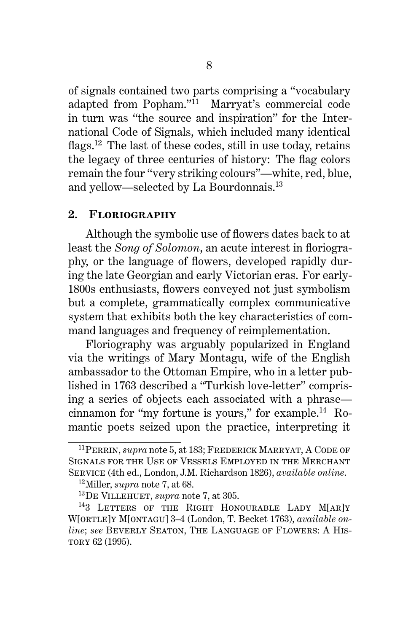of signals contained two parts comprising a "vocabulary adapted from Popham."<sup>11</sup> Marryat's commercial code in turn was "the source and inspiration" for the International Code of Signals, which included many identical flags.<sup>12</sup> The last of these codes, still in use today, retains the legacy of three centuries of history: The flag colors remain the four "very striking colours"—white, red, blue, and yellow—selected by La Bourdonnais.<sup>13</sup>

#### **2. Floriography**

Although the symbolic use of flowers dates back to at least the *Song of Solomon*, an acute interest in floriography, or the language of flowers, developed rapidly during the late Georgian and early Victorian eras. For early-1800s enthusiasts, flowers conveyed not just symbolism but a complete, grammatically complex communicative system that exhibits both the key characteristics of command languages and frequency of reimplementation.

Floriography was arguably popularized in England via the writings of Mary Montagu, wife of the English ambassador to the Ottoman Empire, who in a letter published in 1763 described a "Turkish love-letter" comprising a series of objects each associated with a phrase cinnamon for "my fortune is yours," for example. $^{14}$  Romantic poets seized upon the practice, interpreting it

<sup>&</sup>lt;sup>11</sup>PERRIN, *supra* note 5, at 183; FREDERICK MARRYAT, A CODE OF Signals for the Use of Vessels Employed in the Merchant Service (4th ed., London, J.M. Richardson 1826), *available online*.

<sup>12</sup>Miller, *supra* note 7, at 68.

<sup>13</sup>De Villehuet, *supra* note 7, at 305.

<sup>&</sup>lt;sup>14</sup>3 LETTERS OF THE RIGHT HONOURABLE LADY M[AR]Y W[ortle]y M[ontagu] 3–4 (London, T. Becket 1763), *available online*; *see* Beverly Seaton, The Language of Flowers: A His-TORY 62 (1995).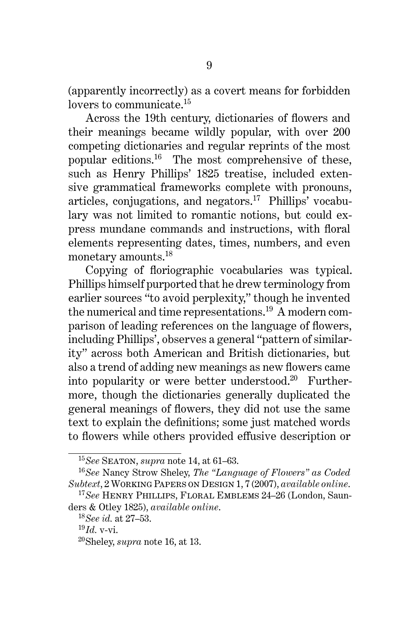(apparently incorrectly) as a covert means for forbidden lovers to communicate.<sup>15</sup>

Across the 19th century, dictionaries of flowers and their meanings became wildly popular, with over 200 competing dictionaries and regular reprints of the most popular editions.<sup>16</sup> The most comprehensive of these, such as Henry Phillips' 1825 treatise, included extensive grammatical frameworks complete with pronouns, articles, conjugations, and negators.<sup>17</sup> Phillips' vocabulary was not limited to romantic notions, but could express mundane commands and instructions, with floral elements representing dates, times, numbers, and even monetary amounts.<sup>18</sup>

Copying of floriographic vocabularies was typical. Phillips himself purported that he drew terminology from earlier sources "to avoid perplexity," though he invented the numerical and time representations.<sup>19</sup> A modern comparison of leading references on the language of flowers, including Phillips', observes a general "pattern of similarity" across both American and British dictionaries, but also a trend of adding new meanings as new flowers came into popularity or were better understood.<sup>20</sup> Furthermore, though the dictionaries generally duplicated the general meanings of flowers, they did not use the same text to explain the definitions; some just matched words to flowers while others provided effusive description or

<sup>15</sup>*See* Seaton, *supra* note 14, at 61–63.

<sup>16</sup>*See* Nancy Strow Sheley, *The "Language of Flowers" as Coded Subtext*, 2 Working Papers on Design 1, 7 (2007), *available online*.

<sup>17</sup>*See* Henry Phillips, Floral Emblems 24–26 (London, Saunders & Otley 1825), *available online*.

<sup>18</sup>*See id.* at 27–53.

 $^{19}$ *Id.* v-vi.

<sup>20</sup>Sheley, *supra* note 16, at 13.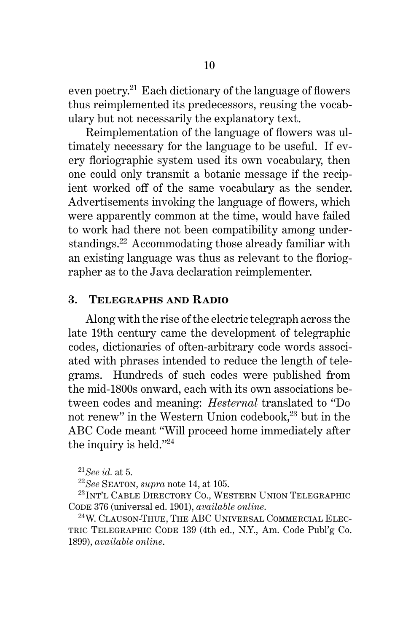even poetry.<sup>21</sup> Each dictionary of the language of flowers thus reimplemented its predecessors, reusing the vocabulary but not necessarily the explanatory text.

Reimplementation of the language of flowers was ultimately necessary for the language to be useful. If every floriographic system used its own vocabulary, then one could only transmit a botanic message if the recipient worked off of the same vocabulary as the sender. Advertisements invoking the language of flowers, which were apparently common at the time, would have failed to work had there not been compatibility among understandings.<sup>22</sup> Accommodating those already familiar with an existing language was thus as relevant to the floriographer as to the Java declaration reimplementer.

### **3. Telegraphs and Radio**

Along with the rise of the electric telegraph across the late 19th century came the development of telegraphic codes, dictionaries of often-arbitrary code words associated with phrases intended to reduce the length of telegrams. Hundreds of such codes were published from the mid-1800s onward, each with its own associations between codes and meaning: *Hesternal* translated to "Do not renew" in the Western Union codebook,<sup>23</sup> but in the ABC Code meant "Will proceed home immediately after the inquiry is held."<sup>24</sup>

<sup>21</sup>*See id.* at 5.

<sup>22</sup>*See* Seaton, *supra* note 14, at 105.

<sup>23</sup>Int'l Cable Directory Co., Western Union Telegraphic CODE 376 (universal ed. 1901), *available online*.

<sup>24</sup>W. Clauson-Thue, The ABC Universal Commercial Electric Telegraphic Code 139 (4th ed., N.Y., Am. Code Publ'g Co. 1899), *available online*.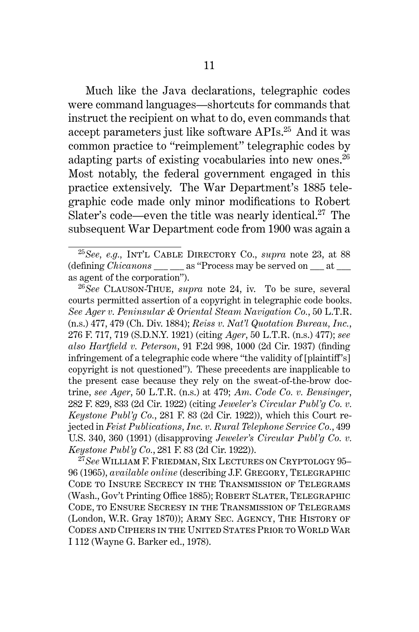Much like the Java declarations, telegraphic codes were command languages—shortcuts for commands that instruct the recipient on what to do, even commands that accept parameters just like software APIs.<sup>25</sup> And it was common practice to "reimplement" telegraphic codes by adapting parts of existing vocabularies into new ones. $^{26}$ Most notably, the federal government engaged in this practice extensively. The War Department's 1885 telegraphic code made only minor modifications to Robert Slater's code—even the title was nearly identical.<sup>27</sup> The subsequent War Department code from 1900 was again a

<sup>25</sup>*See, e.g.,* Int'l Cable Directory Co., *supra* note 23, at 88 (defining *Chicanons* \_\_\_ \_\_\_ as "Process may be served on \_\_\_ at \_\_\_ as agent of the corporation").

<sup>26</sup>*See* Clauson-Thue, *supra* note 24, iv. To be sure, several courts permitted assertion of a copyright in telegraphic code books. *See Ager v. Peninsular & Oriental Steam Navigation Co.*, 50 L.T.R. (n.s.) 477, 479 (Ch. Div. 1884); *Reiss v. Nat'l Quotation Bureau, Inc.*, 276 F. 717, 719 (S.D.N.Y. 1921) (citing *Ager*, 50 L.T.R. (n.s.) 477); *see also Hartfield v. Peterson*, 91 F.2d 998, 1000 (2d Cir. 1937) (finding infringement of a telegraphic code where "the validity of [plaintiff's] copyright is not questioned"). These precedents are inapplicable to the present case because they rely on the sweat-of-the-brow doctrine, *see Ager*, 50 L.T.R. (n.s.) at 479; *Am. Code Co. v. Bensinger*, 282 F. 829, 833 (2d Cir. 1922) (citing *Jeweler's Circular Publ'g Co. v. Keystone Publ'g Co.*, 281 F. 83 (2d Cir. 1922)), which this Court rejected in *Feist Publications, Inc. v. Rural Telephone Service Co.*, 499 U.S. 340, 360 (1991) (disapproving *Jeweler's Circular Publ'g Co. v. Keystone Publ'g Co.*, 281 F. 83 (2d Cir. 1922)).

<sup>27</sup>*See* William F. Friedman, Six Lectures on Cryptology 95– 96 (1965), *available online* (describing J.F. Gregory, Telegraphic Code to Insure Secrecy in the Transmission of Telegrams (Wash., Gov't Printing Office 1885); Robert Slater, Telegraphic Code, to Ensure Secresy in the Transmission of Telegrams (London, W.R. Gray 1870)); Army Sec. Agency, The History of Codes and Ciphers in the United States Prior to World War I 112 (Wayne G. Barker ed., 1978).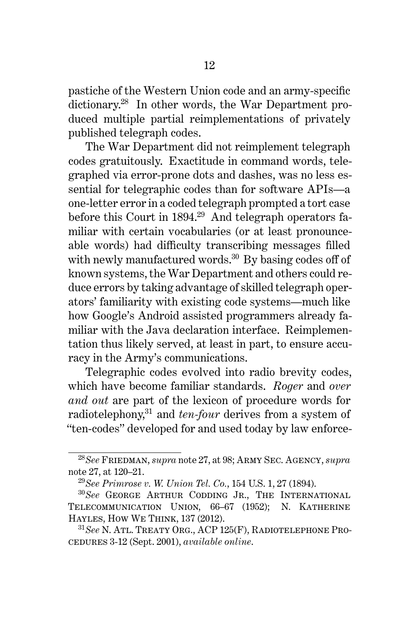pastiche of the Western Union code and an army-specific dictionary.<sup>28</sup> In other words, the War Department produced multiple partial reimplementations of privately published telegraph codes.

The War Department did not reimplement telegraph codes gratuitously. Exactitude in command words, telegraphed via error-prone dots and dashes, was no less essential for telegraphic codes than for software APIs—a one-letter error in a coded telegraph prompted a tort case before this Court in 1894.<sup>29</sup> And telegraph operators familiar with certain vocabularies (or at least pronounceable words) had difficulty transcribing messages filled with newly manufactured words.<sup>30</sup> By basing codes off of known systems, the War Department and others could reduce errors by taking advantage of skilled telegraph operators' familiarity with existing code systems—much like how Google's Android assisted programmers already familiar with the Java declaration interface. Reimplementation thus likely served, at least in part, to ensure accuracy in the Army's communications.

Telegraphic codes evolved into radio brevity codes, which have become familiar standards. *Roger* and *over and out* are part of the lexicon of procedure words for radiotelephony,<sup>31</sup> and *ten-four* derives from a system of "ten-codes" developed for and used today by law enforce-

<sup>28</sup>*See* Friedman, *supra* note 27, at 98; Army Sec. Agency, *supra* note 27, at 120–21.

<sup>29</sup>*See Primrose v. W. Union Tel. Co.*, 154 U.S. 1, 27 (1894).

<sup>30</sup>*See* George Arthur Codding Jr., The International Telecommunication Union, 66–67 (1952); N. Katherine Hayles, How We Think, 137 (2012).

<sup>31</sup>*See* N. Atl. Treaty Org., ACP 125(F), Radiotelephone Procedures 3-12 (Sept. 2001), *available online*.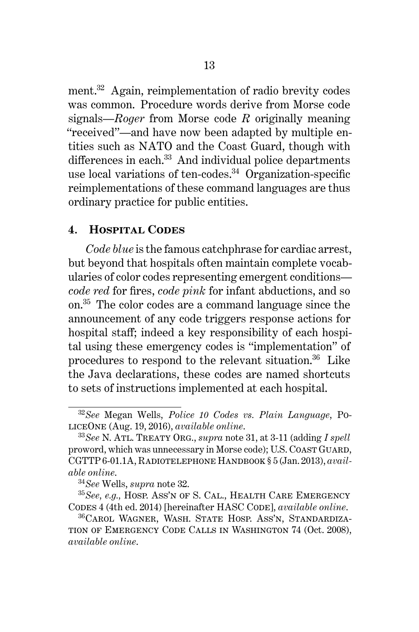ment.<sup>32</sup> Again, reimplementation of radio brevity codes was common. Procedure words derive from Morse code signals—*Roger* from Morse code *R* originally meaning "received"—and have now been adapted by multiple entities such as NATO and the Coast Guard, though with differences in each.<sup>33</sup> And individual police departments use local variations of ten-codes.<sup>34</sup> Organization-specific reimplementations of these command languages are thus ordinary practice for public entities.

#### **4. Hospital Codes**

*Code blue* is the famous catchphrase for cardiac arrest, but beyond that hospitals often maintain complete vocabularies of color codes representing emergent conditions *code red* for fires, *code pink* for infant abductions, and so on.<sup>35</sup> The color codes are a command language since the announcement of any code triggers response actions for hospital staff; indeed a key responsibility of each hospital using these emergency codes is "implementation" of procedures to respond to the relevant situation.<sup>36</sup> Like the Java declarations, these codes are named shortcuts to sets of instructions implemented at each hospital.

<sup>32</sup>*See* Megan Wells, *Police 10 Codes vs. Plain Language*, PoliceOne (Aug. 19, 2016), *available online*.

<sup>33</sup>*See* N. Atl. Treaty Org., *supra* note 31, at 3-11 (adding *I spell* proword, which was unnecessary in Morse code); U.S. Coast Guard, CGTTP 6-01.1A, Radiotelephone Handbook § 5 (Jan. 2013), *available online*.

<sup>34</sup>*See* Wells, *supra* note 32.

<sup>35</sup>*See, e.g.,* Hosp. Ass'n of S. Cal., Health Care Emergency CODES 4 (4th ed. 2014) [hereinafter HASC CODE], *available online*.

<sup>36</sup>Carol Wagner, Wash. State Hosp. Ass'n, Standardization of Emergency Code Calls in Washington 74 (Oct. 2008), *available online*.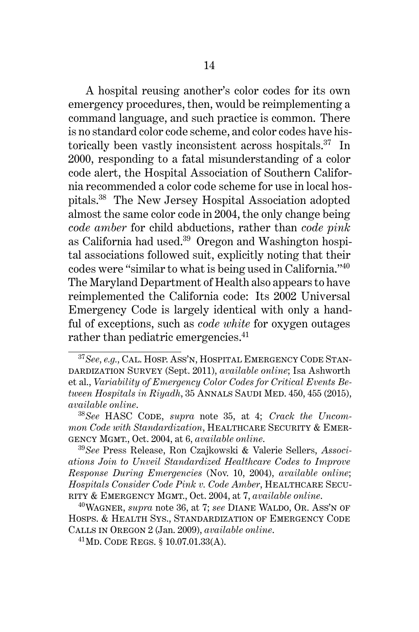A hospital reusing another's color codes for its own emergency procedures, then, would be reimplementing a command language, and such practice is common. There is no standard color code scheme, and color codes have historically been vastly inconsistent across hospitals.<sup>37</sup> In 2000, responding to a fatal misunderstanding of a color code alert, the Hospital Association of Southern California recommended a color code scheme for use in local hospitals.<sup>38</sup> The New Jersey Hospital Association adopted almost the same color code in 2004, the only change being *code amber* for child abductions, rather than *code pink* as California had used.<sup>39</sup> Oregon and Washington hospital associations followed suit, explicitly noting that their codes were "similar to what is being used in California."<sup>40</sup> The Maryland Department of Health also appears to have reimplemented the California code: Its 2002 Universal Emergency Code is largely identical with only a handful of exceptions, such as *code white* for oxygen outages rather than pediatric emergencies.<sup>41</sup>

<sup>37</sup>*See, e.g.,* Cal. Hosp. Ass'n, Hospital Emergency Code Standardization Survey (Sept. 2011), *available online*; Isa Ashworth et al., *Variability of Emergency Color Codes for Critical Events Between Hospitals in Riyadh*, 35 Annals Saudi Med. 450, 455 (2015), *available online*.

<sup>38</sup>*See* HASC Code, *supra* note 35, at 4; *Crack the Uncommon Code with Standardization*, HEALTHCARE SECURITY & EMERgency Mgmt., Oct. 2004, at 6, *available online*.

<sup>39</sup>*See* Press Release, Ron Czajkowski & Valerie Sellers, *Associations Join to Unveil Standardized Healthcare Codes to Improve Response During Emergencies* (Nov. 10, 2004), *available online*; *Hospitals Consider Code Pink v. Code Amber*, HEALTHCARE SECUrity & Emergency Mgmt., Oct. 2004, at 7, *available online*.

<sup>&</sup>lt;sup>40</sup>WAGNER, *supra* note 36, at 7; *see* DIANE WALDO, OR. ASS'N OF Hosps. & Health Sys., Standardization of Emergency Code Calls in Oregon 2 (Jan. 2009), *available online*.

<sup>41</sup>Md. Code Regs. § 10.07.01.33(A).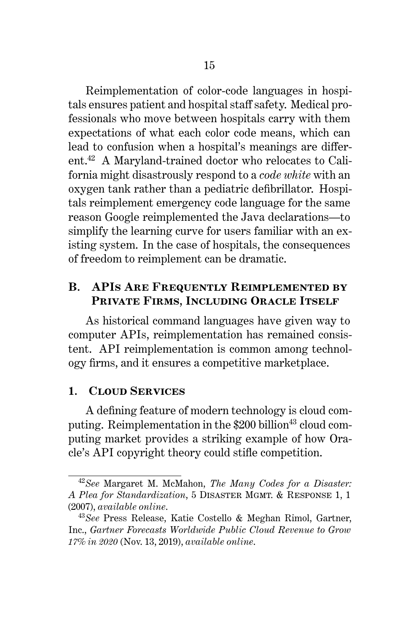Reimplementation of color-code languages in hospitals ensures patient and hospital staff safety. Medical professionals who move between hospitals carry with them expectations of what each color code means, which can lead to confusion when a hospital's meanings are different.<sup>42</sup> A Maryland-trained doctor who relocates to California might disastrously respond to a *code white* with an oxygen tank rather than a pediatric defibrillator. Hospitals reimplement emergency code language for the same reason Google reimplemented the Java declarations—to simplify the learning curve for users familiar with an existing system. In the case of hospitals, the consequences of freedom to reimplement can be dramatic.

## **B. APIs Are Frequently Reimplemented by Private Firms, Including Oracle Itself**

As historical command languages have given way to computer APIs, reimplementation has remained consistent. API reimplementation is common among technology firms, and it ensures a competitive marketplace.

### **1. Cloud Services**

A defining feature of modern technology is cloud computing. Reimplementation in the  $$200$  billion<sup>43</sup> cloud computing market provides a striking example of how Oracle's API copyright theory could stifle competition.

<sup>42</sup>*See* Margaret M. McMahon, *The Many Codes for a Disaster: A Plea for Standardization*, 5 Disaster Mgmt. & Response 1, 1 (2007), *available online*.

<sup>43</sup>*See* Press Release, Katie Costello & Meghan Rimol, Gartner, Inc., *Gartner Forecasts Worldwide Public Cloud Revenue to Grow 17% in 2020* (Nov. 13, 2019), *available online*.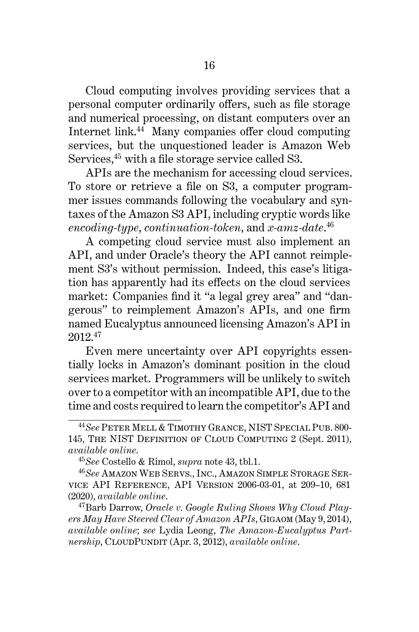Cloud computing involves providing services that a personal computer ordinarily offers, such as file storage and numerical processing, on distant computers over an Internet link.<sup>44</sup> Many companies offer cloud computing services, but the unquestioned leader is Amazon Web Services,<sup>45</sup> with a file storage service called S3.

APIs are the mechanism for accessing cloud services. To store or retrieve a file on S3, a computer programmer issues commands following the vocabulary and syntaxes of the Amazon S3 API, including cryptic words like *encoding-type*, *continuation-token*, and *x-amz-date*. 46

A competing cloud service must also implement an API, and under Oracle's theory the API cannot reimplement S3's without permission. Indeed, this case's litigation has apparently had its effects on the cloud services market: Companies find it "a legal grey area" and "dangerous" to reimplement Amazon's APIs, and one firm named Eucalyptus announced licensing Amazon's API in 2012.<sup>47</sup>

Even mere uncertainty over API copyrights essentially locks in Amazon's dominant position in the cloud services market. Programmers will be unlikely to switch over to a competitor with an incompatible API, due to the time and costs required to learn the competitor's API and

<sup>47</sup>Barb Darrow, *Oracle v. Google Ruling Shows Why Cloud Players May Have Steered Clear of Amazon APIs*, Gigaom (May 9, 2014), *available online*; *see* Lydia Leong, *The Amazon-Eucalyptus Partnership*, CloudPundit (Apr. 3, 2012), *available online*.

<sup>44</sup>*See* Peter Mell & Timothy Grance, NIST Special Pub. 800- 145, The NIST Definition of Cloud Computing 2 (Sept. 2011), *available online*.

<sup>45</sup>*See* Costello & Rimol, *supra* note 43, tbl.1.

<sup>46</sup>*See* Amazon Web Servs., Inc., Amazon Simple Storage Service API Reference, API Version 2006-03-01, at 209–10, 681 (2020), *available online*.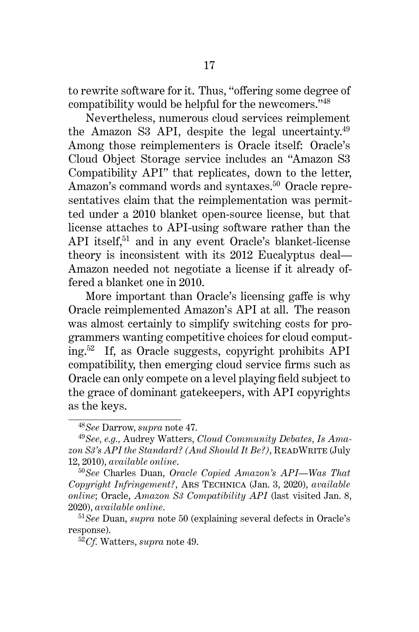to rewrite software for it. Thus, "offering some degree of compatibility would be helpful for the newcomers."<sup>48</sup>

Nevertheless, numerous cloud services reimplement the Amazon S3 API, despite the legal uncertainty. $49$ Among those reimplementers is Oracle itself: Oracle's Cloud Object Storage service includes an "Amazon S3 Compatibility API" that replicates, down to the letter, Amazon's command words and syntaxes.<sup>50</sup> Oracle representatives claim that the reimplementation was permitted under a 2010 blanket open-source license, but that license attaches to API-using software rather than the API itself,<sup>51</sup> and in any event Oracle's blanket-license theory is inconsistent with its 2012 Eucalyptus deal— Amazon needed not negotiate a license if it already offered a blanket one in 2010.

More important than Oracle's licensing gaffe is why Oracle reimplemented Amazon's API at all. The reason was almost certainly to simplify switching costs for programmers wanting competitive choices for cloud computing.<sup>52</sup> If, as Oracle suggests, copyright prohibits API compatibility, then emerging cloud service firms such as Oracle can only compete on a level playing field subject to the grace of dominant gatekeepers, with API copyrights as the keys.

<sup>48</sup>*See* Darrow, *supra* note 47.

<sup>49</sup>*See, e.g.,* Audrey Watters, *Cloud Community Debates, Is Amazon S3's API the Standard? (And Should It Be?)*, ReadWrite (July 12, 2010), *available online*.

<sup>50</sup>*See* Charles Duan, *Oracle Copied Amazon's API—Was That Copyright Infringement?*, Ars Technica (Jan. 3, 2020), *available online*; Oracle, *Amazon S3 Compatibility API* (last visited Jan. 8, 2020), *available online*.

<sup>51</sup>*See* Duan, *supra* note 50 (explaining several defects in Oracle's response).

<sup>52</sup>*Cf.* Watters, *supra* note 49.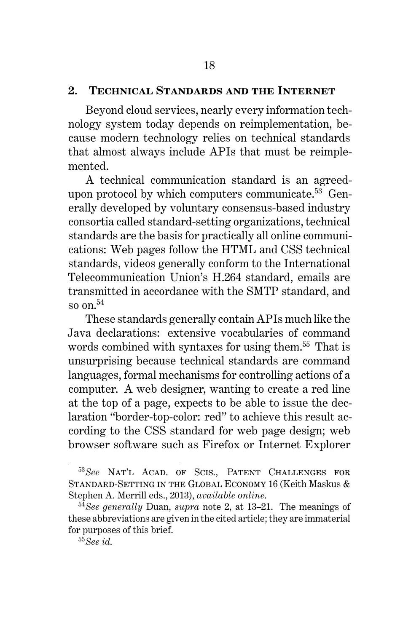#### **2. Technical Standards and the Internet**

Beyond cloud services, nearly every information technology system today depends on reimplementation, because modern technology relies on technical standards that almost always include APIs that must be reimplemented.

A technical communication standard is an agreedupon protocol by which computers communicate.<sup>53</sup> Generally developed by voluntary consensus-based industry consortia called standard-setting organizations, technical standards are the basis for practically all online communications: Web pages follow the HTML and CSS technical standards, videos generally conform to the International Telecommunication Union's H.264 standard, emails are transmitted in accordance with the SMTP standard, and so on.<sup>54</sup>

These standards generally contain APIs much like the Java declarations: extensive vocabularies of command words combined with syntaxes for using them.<sup>55</sup> That is unsurprising because technical standards are command languages, formal mechanisms for controlling actions of a computer. A web designer, wanting to create a red line at the top of a page, expects to be able to issue the declaration "border-top-color: red" to achieve this result according to the CSS standard for web page design; web browser software such as Firefox or Internet Explorer

<sup>53</sup>*See* Nat'l Acad. of Scis., Patent Challenges for STANDARD-SETTING IN THE GLOBAL ECONOMY 16 (Keith Maskus & Stephen A. Merrill eds., 2013), *available online*.

<sup>54</sup>*See generally* Duan, *supra* note 2, at 13–21. The meanings of these abbreviations are given in the cited article; they are immaterial for purposes of this brief.

<sup>55</sup>*See id.*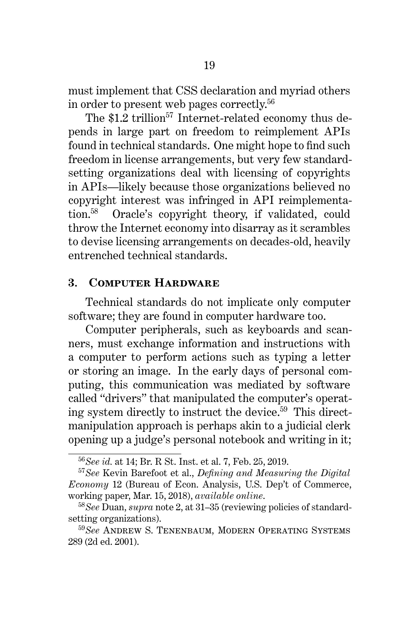must implement that CSS declaration and myriad others in order to present web pages correctly.<sup>56</sup>

The  $$1.2$  trillion<sup>57</sup> Internet-related economy thus depends in large part on freedom to reimplement APIs found in technical standards. One might hope to find such freedom in license arrangements, but very few standardsetting organizations deal with licensing of copyrights in APIs—likely because those organizations believed no copyright interest was infringed in API reimplementation.<sup>58</sup> Oracle's copyright theory, if validated, could throw the Internet economy into disarray as it scrambles to devise licensing arrangements on decades-old, heavily entrenched technical standards.

#### **3. Computer Hardware**

Technical standards do not implicate only computer software; they are found in computer hardware too.

Computer peripherals, such as keyboards and scanners, must exchange information and instructions with a computer to perform actions such as typing a letter or storing an image. In the early days of personal computing, this communication was mediated by software called "drivers" that manipulated the computer's operating system directly to instruct the device.<sup>59</sup> This directmanipulation approach is perhaps akin to a judicial clerk opening up a judge's personal notebook and writing in it;

<sup>56</sup>*See id.* at 14; Br. R St. Inst. et al. 7, Feb. 25, 2019.

<sup>57</sup>*See* Kevin Barefoot et al., *Defining and Measuring the Digital Economy* 12 (Bureau of Econ. Analysis, U.S. Dep't of Commerce, working paper, Mar. 15, 2018), *available online*.

<sup>58</sup>*See* Duan, *supra* note 2, at 31–35 (reviewing policies of standardsetting organizations).

<sup>59</sup>*See* Andrew S. Tenenbaum, Modern Operating Systems 289 (2d ed. 2001).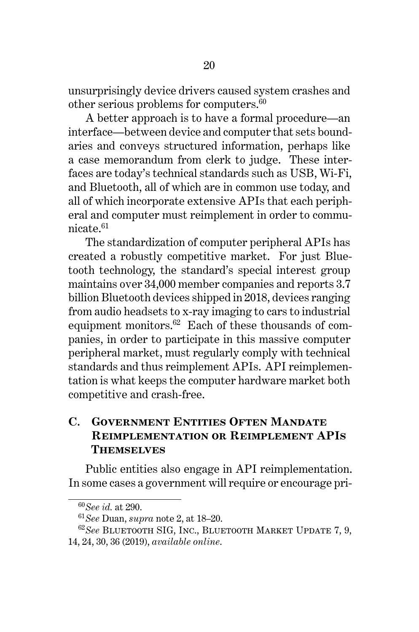unsurprisingly device drivers caused system crashes and other serious problems for computers.<sup>60</sup>

A better approach is to have a formal procedure—an interface—between device and computer that sets boundaries and conveys structured information, perhaps like a case memorandum from clerk to judge. These interfaces are today's technical standards such as USB, Wi-Fi, and Bluetooth, all of which are in common use today, and all of which incorporate extensive APIs that each peripheral and computer must reimplement in order to communicate.<sup>61</sup>

The standardization of computer peripheral APIs has created a robustly competitive market. For just Bluetooth technology, the standard's special interest group maintains over 34,000 member companies and reports 3.7 billion Bluetooth devices shipped in 2018, devices ranging from audio headsets to x-ray imaging to cars to industrial equipment monitors.<sup>62</sup> Each of these thousands of companies, in order to participate in this massive computer peripheral market, must regularly comply with technical standards and thus reimplement APIs. API reimplementation is what keeps the computer hardware market both competitive and crash-free.

## **C. Government Entities Often Mandate Reimplementation or Reimplement APIs Themselves**

Public entities also engage in API reimplementation. In some cases a government will require or encourage pri-

<sup>60</sup>*See id.* at 290.

<sup>61</sup>*See* Duan, *supra* note 2, at 18–20.

<sup>62</sup>*See* Bluetooth SIG, Inc., Bluetooth Market Update 7, 9, 14, 24, 30, 36 (2019), *available online*.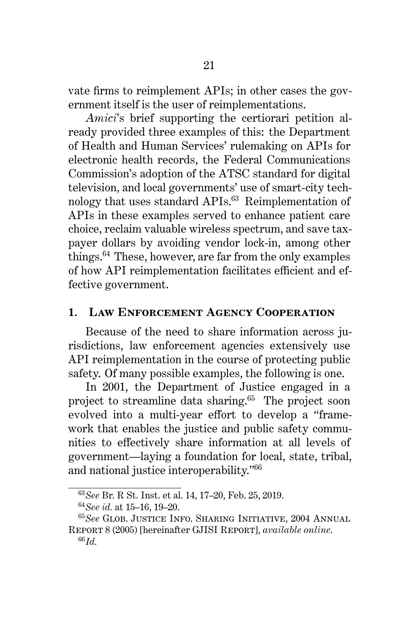vate firms to reimplement APIs; in other cases the government itself is the user of reimplementations.

*Amici*'s brief supporting the certiorari petition already provided three examples of this: the Department of Health and Human Services' rulemaking on APIs for electronic health records, the Federal Communications Commission's adoption of the ATSC standard for digital television, and local governments' use of smart-city technology that uses standard APIs.<sup>63</sup> Reimplementation of APIs in these examples served to enhance patient care choice, reclaim valuable wireless spectrum, and save taxpayer dollars by avoiding vendor lock-in, among other things. $64$  These, however, are far from the only examples of how API reimplementation facilitates efficient and effective government.

#### **1. Law Enforcement Agency Cooperation**

Because of the need to share information across jurisdictions, law enforcement agencies extensively use API reimplementation in the course of protecting public safety. Of many possible examples, the following is one.

In 2001, the Department of Justice engaged in a project to streamline data sharing.<sup>65</sup> The project soon evolved into a multi-year effort to develop a "framework that enables the justice and public safety communities to effectively share information at all levels of government—laying a foundation for local, state, tribal, and national justice interoperability."<sup>66</sup>

<sup>63</sup>*See* Br. R St. Inst. et al. 14, 17–20, Feb. 25, 2019.

<sup>64</sup>*See id.* at 15–16, 19–20.

<sup>65</sup>*See* Glob. Justice Info. Sharing Initiative, 2004 Annual Report 8 (2005) [hereinafter GJISI Report], *available online*. <sup>66</sup>*Id.*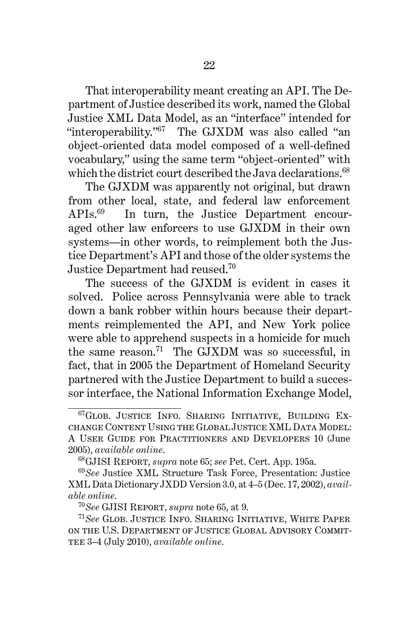That interoperability meant creating an API. The Department of Justice described its work, named the Global Justice XML Data Model, as an "interface" intended for "interoperability."<sup>67</sup> The GJXDM was also called "an object-oriented data model composed of a well-defined vocabulary," using the same term "object-oriented" with which the district court described the Java declarations.<sup>68</sup>

The GJXDM was apparently not original, but drawn from other local, state, and federal law enforcement APIs.<sup>69</sup> In turn, the Justice Department encouraged other law enforcers to use GJXDM in their own systems—in other words, to reimplement both the Justice Department's API and those of the older systems the Justice Department had reused.<sup>70</sup>

The success of the GJXDM is evident in cases it solved. Police across Pennsylvania were able to track down a bank robber within hours because their departments reimplemented the API, and New York police were able to apprehend suspects in a homicide for much the same reason.<sup>71</sup> The GJXDM was so successful, in fact, that in 2005 the Department of Homeland Security partnered with the Justice Department to build a successor interface, the National Information Exchange Model,

<sup>67</sup>Glob. Justice Info. Sharing Initiative, Building Exchange Content Using the Global Justice XML Data Model: A User Guide for Practitioners and Developers 10 (June 2005), *available online*.

<sup>68</sup>GJISI Report, *supra* note 65; *see* Pet. Cert. App. 195a.

<sup>69</sup>*See* Justice XML Structure Task Force, Presentation: Justice XML Data Dictionary JXDD Version 3.0, at 4–5 (Dec. 17, 2002), *available online*.

<sup>70</sup>*See* GJISI Report, *supra* note 65, at 9.

<sup>71</sup>*See* Glob. Justice Info. Sharing Initiative, White Paper on the U.S. Department of Justice Global Advisory Commit-TEE 3-4 (July 2010), *available online*.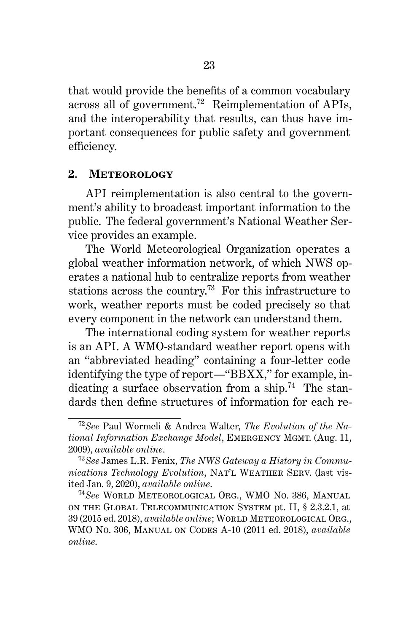that would provide the benefits of a common vocabulary across all of government.<sup>72</sup> Reimplementation of APIs, and the interoperability that results, can thus have important consequences for public safety and government efficiency.

#### **2. Meteorology**

API reimplementation is also central to the government's ability to broadcast important information to the public. The federal government's National Weather Service provides an example.

The World Meteorological Organization operates a global weather information network, of which NWS operates a national hub to centralize reports from weather stations across the country.<sup>73</sup> For this infrastructure to work, weather reports must be coded precisely so that every component in the network can understand them.

The international coding system for weather reports is an API. A WMO-standard weather report opens with an "abbreviated heading" containing a four-letter code identifying the type of report—"BBXX," for example, indicating a surface observation from a ship.<sup>74</sup> The standards then define structures of information for each re-

<sup>72</sup>*See* Paul Wormeli & Andrea Walter, *The Evolution of the National Information Exchange Model*, Emergency Mgmt. (Aug. 11, 2009), *available online*.

<sup>73</sup>*See* James L.R. Fenix, *The NWS Gateway a History in Commu*nications Technology Evolution, NAT'L WEATHER SERV. (last visited Jan. 9, 2020), *available online*.

<sup>74</sup>*See* World Meteorological Org., WMO No. 386, Manual on the Global Telecommunication System pt. II, § 2.3.2.1, at 39 (2015 ed. 2018), *available online*; World Meteorological Org., WMO No. 306, Manual on Codes A-10 (2011 ed. 2018), *available online*.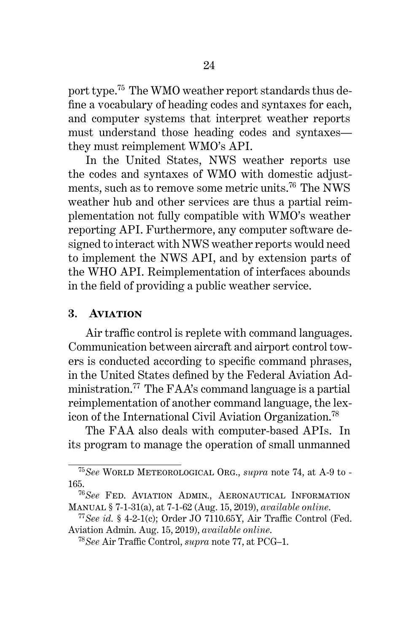port type.<sup>75</sup> The WMO weather report standards thus define a vocabulary of heading codes and syntaxes for each, and computer systems that interpret weather reports must understand those heading codes and syntaxes they must reimplement WMO's API.

In the United States, NWS weather reports use the codes and syntaxes of WMO with domestic adjustments, such as to remove some metric units.<sup>76</sup> The NWS weather hub and other services are thus a partial reimplementation not fully compatible with WMO's weather reporting API. Furthermore, any computer software designed to interact with NWS weather reports would need to implement the NWS API, and by extension parts of the WHO API. Reimplementation of interfaces abounds in the field of providing a public weather service.

#### **3. Aviation**

Air traffic control is replete with command languages. Communication between aircraft and airport control towers is conducted according to specific command phrases, in the United States defined by the Federal Aviation Administration.<sup>77</sup> The FAA's command language is a partial reimplementation of another command language, the lexicon of the International Civil Aviation Organization.<sup>78</sup>

The FAA also deals with computer-based APIs. In its program to manage the operation of small unmanned

<sup>75</sup>*See* World Meteorological Org., *supra* note 74, at A-9 to - 165.

<sup>76</sup>*See* Fed. Aviation Admin., Aeronautical Information Manual § 7-1-31(a), at 7-1-62 (Aug. 15, 2019), *available online*.

<sup>77</sup>*See id.* § 4-2-1(c); Order JO 7110.65Y, Air Traffic Control (Fed. Aviation Admin. Aug. 15, 2019), *available online*.

<sup>78</sup>*See* Air Traffic Control, *supra* note 77, at PCG–1.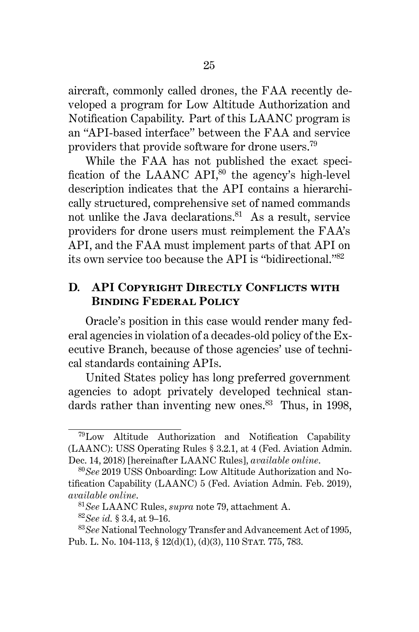aircraft, commonly called drones, the FAA recently developed a program for Low Altitude Authorization and Notification Capability. Part of this LAANC program is an "API-based interface" between the FAA and service providers that provide software for drone users.<sup>79</sup>

While the FAA has not published the exact specification of the LAANC API, $80$  the agency's high-level description indicates that the API contains a hierarchically structured, comprehensive set of named commands not unlike the Java declarations.<sup>81</sup> As a result, service providers for drone users must reimplement the FAA's API, and the FAA must implement parts of that API on its own service too because the API is "bidirectional."<sup>82</sup>

## **D. API Copyright Directly Conflicts with Binding Federal Policy**

Oracle's position in this case would render many federal agencies in violation of a decades-old policy of the Executive Branch, because of those agencies' use of technical standards containing APIs.

United States policy has long preferred government agencies to adopt privately developed technical standards rather than inventing new ones. $83$  Thus, in 1998,

<sup>79</sup>Low Altitude Authorization and Notification Capability (LAANC): USS Operating Rules § 3.2.1, at 4 (Fed. Aviation Admin. Dec. 14, 2018) [hereinafter LAANC Rules], *available online*.

<sup>80</sup>*See* 2019 USS Onboarding: Low Altitude Authorization and Notification Capability (LAANC) 5 (Fed. Aviation Admin. Feb. 2019), *available online*.

<sup>81</sup>*See* LAANC Rules, *supra* note 79, attachment A.

<sup>82</sup>*See id.* § 3.4, at 9–16.

<sup>83</sup>*See* National Technology Transfer and Advancement Act of 1995, Pub. L. No. 104-113, § 12(d)(1), (d)(3), 110 STAT. 775, 783.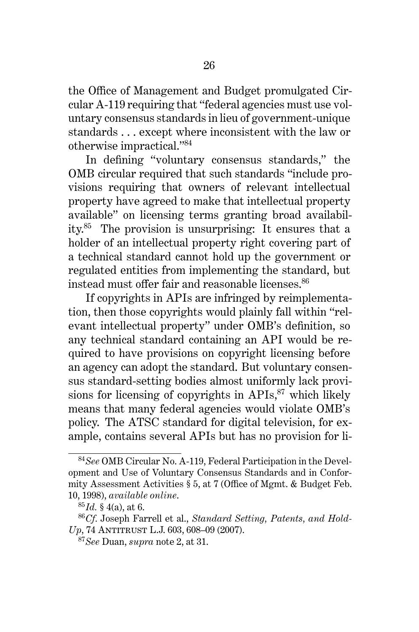the Office of Management and Budget promulgated Circular A-119 requiring that "federal agencies must use voluntary consensus standards in lieu of government-unique standards . . . except where inconsistent with the law or otherwise impractical."<sup>84</sup>

In defining "voluntary consensus standards," the OMB circular required that such standards "include provisions requiring that owners of relevant intellectual property have agreed to make that intellectual property available" on licensing terms granting broad availability.<sup>85</sup> The provision is unsurprising: It ensures that a holder of an intellectual property right covering part of a technical standard cannot hold up the government or regulated entities from implementing the standard, but instead must offer fair and reasonable licenses.<sup>86</sup>

If copyrights in APIs are infringed by reimplementation, then those copyrights would plainly fall within "relevant intellectual property" under OMB's definition, so any technical standard containing an API would be required to have provisions on copyright licensing before an agency can adopt the standard. But voluntary consensus standard-setting bodies almost uniformly lack provisions for licensing of copyrights in  $APIs$ ,  $87$  which likely means that many federal agencies would violate OMB's policy. The ATSC standard for digital television, for example, contains several APIs but has no provision for li-

<sup>84</sup>*See* OMB Circular No. A-119, Federal Participation in the Development and Use of Voluntary Consensus Standards and in Conformity Assessment Activities § 5, at 7 (Office of Mgmt. & Budget Feb. 10, 1998), *available online*.

<sup>85</sup>*Id.* § 4(a), at 6.

<sup>86</sup>*Cf.* Joseph Farrell et al., *Standard Setting, Patents, and Hold-Up*, 74 ANTITRUST L.J. 603, 608-09 (2007).

<sup>87</sup>*See* Duan, *supra* note 2, at 31.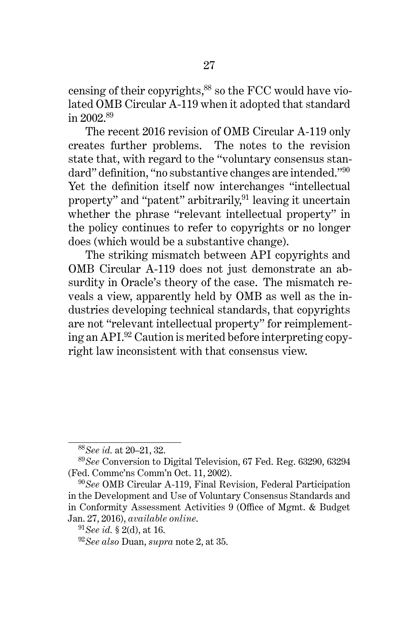censing of their copyrights,<sup>88</sup> so the FCC would have violated OMB Circular A-119 when it adopted that standard in 2002.<sup>89</sup>

The recent 2016 revision of OMB Circular A-119 only creates further problems. The notes to the revision state that, with regard to the "voluntary consensus standard" definition, "no substantive changes are intended."<sup>90</sup> Yet the definition itself now interchanges "intellectual property" and "patent" arbitrarily, $91$  leaving it uncertain whether the phrase "relevant intellectual property" in the policy continues to refer to copyrights or no longer does (which would be a substantive change).

The striking mismatch between API copyrights and OMB Circular A-119 does not just demonstrate an absurdity in Oracle's theory of the case. The mismatch reveals a view, apparently held by OMB as well as the industries developing technical standards, that copyrights are not "relevant intellectual property" for reimplementing an API.<sup>92</sup> Caution is merited before interpreting copyright law inconsistent with that consensus view.

<sup>88</sup>*See id.* at 20–21, 32.

<sup>89</sup>*See* Conversion to Digital Television, 67 Fed. Reg. 63290, 63294 (Fed. Commc'ns Comm'n Oct. 11, 2002).

<sup>90</sup>*See* OMB Circular A-119, Final Revision, Federal Participation in the Development and Use of Voluntary Consensus Standards and in Conformity Assessment Activities 9 (Office of Mgmt. & Budget Jan. 27, 2016), *available online*.

<sup>91</sup>*See id.* § 2(d), at 16.

<sup>92</sup>*See also* Duan, *supra* note 2, at 35.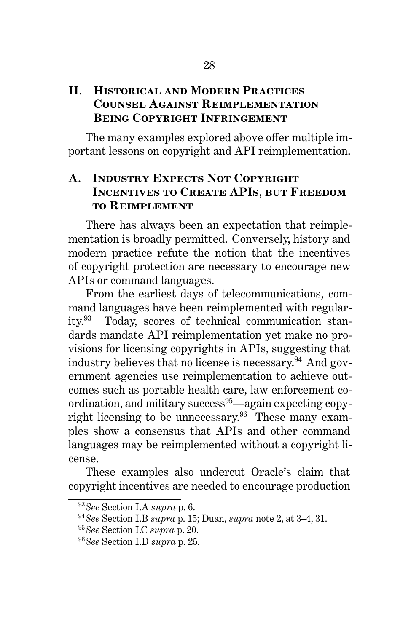## **II. Historical and Modern Practices Counsel Against Reimplementation Being Copyright Infringement**

The many examples explored above offer multiple important lessons on copyright and API reimplementation.

## **A. Industry Expects Not Copyright Incentives to Create APIs, but Freedom to Reimplement**

There has always been an expectation that reimplementation is broadly permitted. Conversely, history and modern practice refute the notion that the incentives of copyright protection are necessary to encourage new APIs or command languages.

From the earliest days of telecommunications, command languages have been reimplemented with regularity.<sup>93</sup> Today, scores of technical communication standards mandate API reimplementation yet make no provisions for licensing copyrights in APIs, suggesting that industry believes that no license is necessary.<sup>94</sup> And government agencies use reimplementation to achieve outcomes such as portable health care, law enforcement coordination, and military success<sup>95</sup>—again expecting copyright licensing to be unnecessary.<sup>96</sup> These many examples show a consensus that APIs and other command languages may be reimplemented without a copyright license.

These examples also undercut Oracle's claim that copyright incentives are needed to encourage production

<sup>93</sup>*See* Section I.A *supra* p. 6.

<sup>94</sup>*See* Section I.B *supra* p. 15; Duan, *supra* note 2, at 3–4, 31.

<sup>95</sup>*See* Section I.C *supra* p. 20.

<sup>96</sup>*See* Section I.D *supra* p. 25.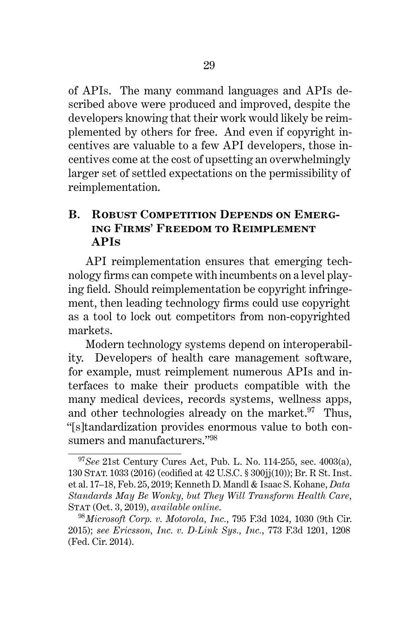of APIs. The many command languages and APIs described above were produced and improved, despite the developers knowing that their work would likely be reimplemented by others for free. And even if copyright incentives are valuable to a few API developers, those incentives come at the cost of upsetting an overwhelmingly larger set of settled expectations on the permissibility of reimplementation.

## **B. ROBUST COMPETITION DEPENDS ON EMERGing Firms' Freedom to Reimplement APIs**

API reimplementation ensures that emerging technology firms can compete with incumbents on a level playing field. Should reimplementation be copyright infringement, then leading technology firms could use copyright as a tool to lock out competitors from non-copyrighted markets.

Modern technology systems depend on interoperability. Developers of health care management software, for example, must reimplement numerous APIs and interfaces to make their products compatible with the many medical devices, records systems, wellness apps, and other technologies already on the market. $97$  Thus, "[s]tandardization provides enormous value to both consumers and manufacturers."<sup>98</sup>

<sup>97</sup>*See* 21st Century Cures Act, Pub. L. No. 114-255, sec. 4003(a), 130 Stat. 1033 (2016) (codified at 42 U.S.C. § 300jj(10)); Br. R St. Inst. et al. 17–18, Feb. 25, 2019; Kenneth D. Mandl & Isaac S. Kohane, *Data Standards May Be Wonky, but They Will Transform Health Care*, Stat (Oct. 3, 2019), *available online*.

<sup>98</sup>*Microsoft Corp. v. Motorola, Inc.*, 795 F.3d 1024, 1030 (9th Cir. 2015); *see Ericsson, Inc. v. D-Link Sys., Inc.*, 773 F.3d 1201, 1208 (Fed. Cir. 2014).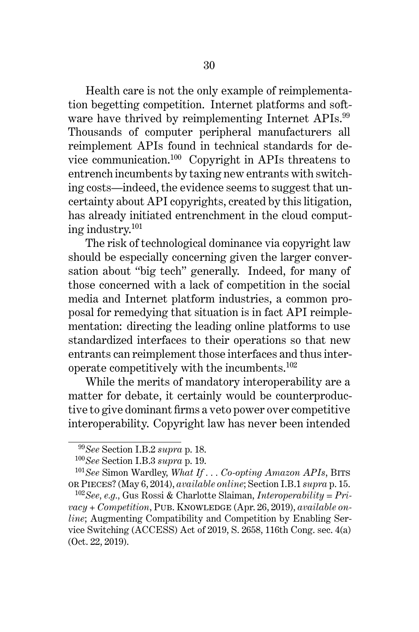Health care is not the only example of reimplementation begetting competition. Internet platforms and software have thrived by reimplementing Internet APIs.<sup>99</sup> Thousands of computer peripheral manufacturers all reimplement APIs found in technical standards for device communication.<sup>100</sup> Copyright in APIs threatens to entrench incumbents by taxing new entrants with switching costs—indeed, the evidence seems to suggest that uncertainty about API copyrights, created by this litigation, has already initiated entrenchment in the cloud computing industry.<sup>101</sup>

The risk of technological dominance via copyright law should be especially concerning given the larger conversation about "big tech" generally. Indeed, for many of those concerned with a lack of competition in the social media and Internet platform industries, a common proposal for remedying that situation is in fact API reimplementation: directing the leading online platforms to use standardized interfaces to their operations so that new entrants can reimplement those interfaces and thus interoperate competitively with the incumbents.<sup>102</sup>

While the merits of mandatory interoperability are a matter for debate, it certainly would be counterproductive to give dominant firms a veto power over competitive interoperability. Copyright law has never been intended

<sup>99</sup>*See* Section I.B.2 *supra* p. 18.

<sup>100</sup>*See* Section I.B.3 *supra* p. 19.

<sup>101</sup>*See* Simon Wardley, *What If . . . Co-opting Amazon APIs*, Bits or Pieces? (May 6, 2014), *available online*; Section I.B.1 *supra* p. 15.

<sup>102</sup>*See, e.g.,* Gus Rossi & Charlotte Slaiman, *Interoperability = Pri* $vacy + Competition$ , PUB. KNOWLEDGE (Apr. 26, 2019), *available online*; Augmenting Compatibility and Competition by Enabling Service Switching (ACCESS) Act of 2019, S. 2658, 116th Cong. sec. 4(a) (Oct. 22, 2019).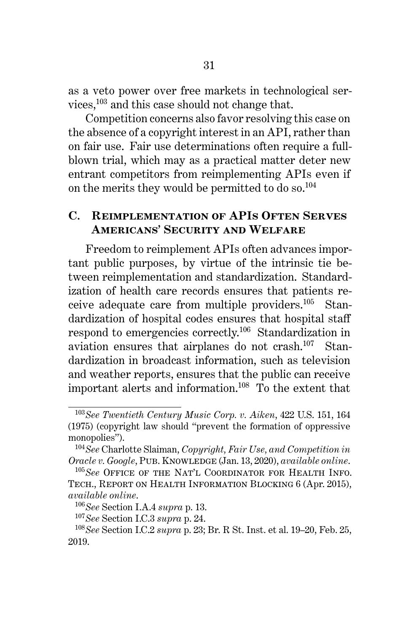as a veto power over free markets in technological services,<sup>103</sup> and this case should not change that.

Competition concerns also favor resolving this case on the absence of a copyright interest in an API, rather than on fair use. Fair use determinations often require a fullblown trial, which may as a practical matter deter new entrant competitors from reimplementing APIs even if on the merits they would be permitted to do so.<sup>104</sup>

### **C. Reimplementation of APIs Often Serves Americans' Security and Welfare**

Freedom to reimplement APIs often advances important public purposes, by virtue of the intrinsic tie between reimplementation and standardization. Standardization of health care records ensures that patients receive adequate care from multiple providers.<sup>105</sup> Standardization of hospital codes ensures that hospital staff respond to emergencies correctly.<sup>106</sup> Standardization in aviation ensures that airplanes do not crash.<sup>107</sup> Standardization in broadcast information, such as television and weather reports, ensures that the public can receive important alerts and information.<sup>108</sup> To the extent that

<sup>103</sup>*See Twentieth Century Music Corp. v. Aiken*, 422 U.S. 151, 164 (1975) (copyright law should "prevent the formation of oppressive monopolies").

<sup>104</sup>*See* Charlotte Slaiman, *Copyright, Fair Use, and Competition in Oracle v. Google*, Pub. Knowledge (Jan. 13, 2020), *available online*.

<sup>105</sup>*See* Office of the Nat'l Coordinator for Health Info. Tech., Report on Health Information Blocking 6 (Apr. 2015), *available online*.

<sup>106</sup>*See* Section I.A.4 *supra* p. 13.

<sup>107</sup>*See* Section I.C.3 *supra* p. 24.

<sup>108</sup>*See* Section I.C.2 *supra* p. 23; Br. R St. Inst. et al. 19–20, Feb. 25, 2019.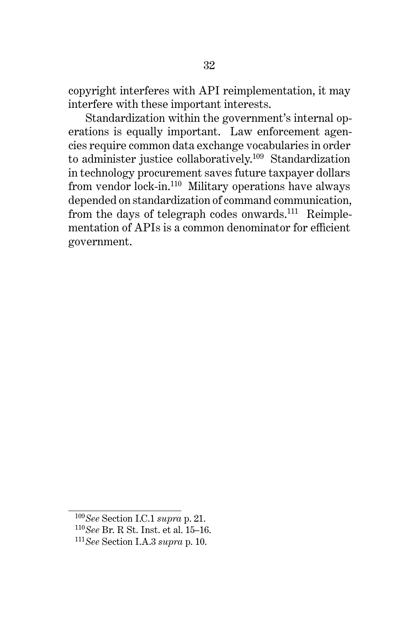copyright interferes with API reimplementation, it may interfere with these important interests.

Standardization within the government's internal operations is equally important. Law enforcement agencies require common data exchange vocabularies in order to administer justice collaboratively.<sup>109</sup> Standardization in technology procurement saves future taxpayer dollars from vendor lock-in.<sup>110</sup> Military operations have always depended on standardization of command communication, from the days of telegraph codes onwards.<sup>111</sup> Reimplementation of APIs is a common denominator for efficient government.

<sup>109</sup>*See* Section I.C.1 *supra* p. 21.

<sup>110</sup>*See* Br. R St. Inst. et al. 15–16.

<sup>111</sup>*See* Section I.A.3 *supra* p. 10.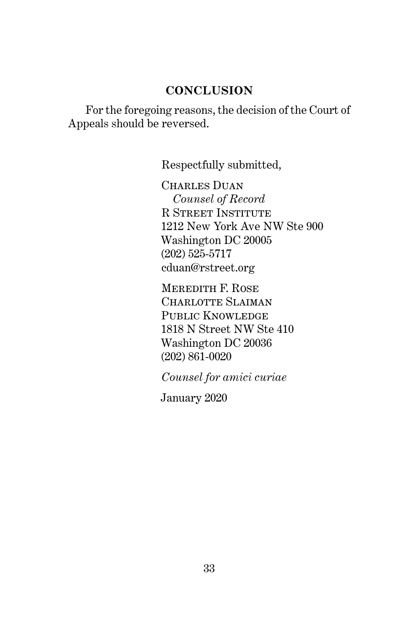## **CONCLUSION**

For the foregoing reasons, the decision of the Court of Appeals should be reversed.

Respectfully submitted,

CHARLES DUAN *Counsel of Record* R Street Institute 1212 New York Ave NW Ste 900 Washington DC 20005 (202) 525-5717 cduan@rstreet.org

Meredith F. Rose CHARLOTTE SLAIMAN PUBLIC KNOWLEDGE 1818 N Street NW Ste 410 Washington DC 20036 (202) 861-0020

*Counsel for amici curiae*

January 2020